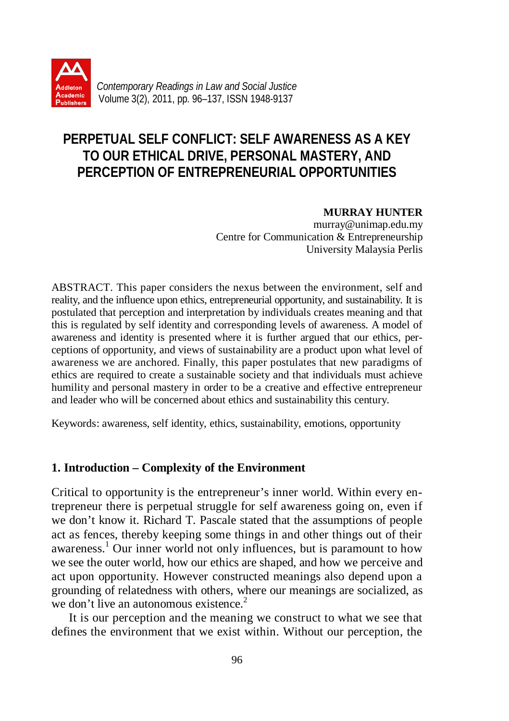

# **PERPETUAL SELF CONFLICT: SELF AWARENESS AS A KEY TO OUR ETHICAL DRIVE, PERSONAL MASTERY, AND PERCEPTION OF ENTREPRENEURIAL OPPORTUNITIES**

**MURRAY HUNTER**

murray@unimap.edu.my Centre for Communication & Entrepreneurship University Malaysia Perlis

ABSTRACT. This paper considers the nexus between the environment, self and reality, and the influence upon ethics, entrepreneurial opportunity, and sustainability. It is postulated that perception and interpretation by individuals creates meaning and that this is regulated by self identity and corresponding levels of awareness. A model of awareness and identity is presented where it is further argued that our ethics, perceptions of opportunity, and views of sustainability are a product upon what level of awareness we are anchored. Finally, this paper postulates that new paradigms of ethics are required to create a sustainable society and that individuals must achieve humility and personal mastery in order to be a creative and effective entrepreneur and leader who will be concerned about ethics and sustainability this century.

Keywords: awareness, self identity, ethics, sustainability, emotions, opportunity

# **1. Introduction – Complexity of the Environment**

Critical to opportunity is the entrepreneur's inner world. Within every entrepreneur there is perpetual struggle for self awareness going on, even if we don't know it. Richard T. Pascale stated that the assumptions of people act as fences, thereby keeping some things in and other things out of their awareness. 1 Our inner world not only influences, but is paramount to how we see the outer world, how our ethics are shaped, and how we perceive and act upon opportunity. However constructed meanings also depend upon a grounding of relatedness with others, where our meanings are socialized, as we don't live an autonomous existence.<sup>2</sup>

It is our perception and the meaning we construct to what we see that defines the environment that we exist within. Without our perception, the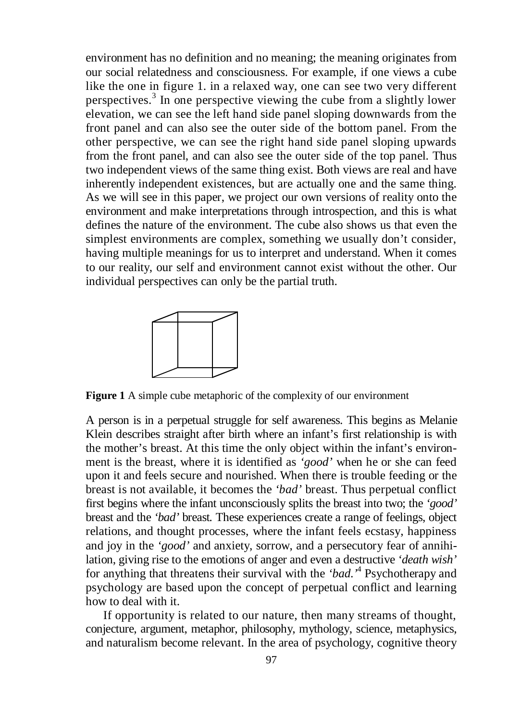environment has no definition and no meaning; the meaning originates from our social relatedness and consciousness. For example, if one views a cube like the one in figure 1. in a relaxed way, one can see two very different perspectives.<sup>3</sup> In one perspective viewing the cube from a slightly lower elevation, we can see the left hand side panel sloping downwards from the front panel and can also see the outer side of the bottom panel. From the other perspective, we can see the right hand side panel sloping upwards from the front panel, and can also see the outer side of the top panel. Thus two independent views of the same thing exist. Both views are real and have inherently independent existences, but are actually one and the same thing. As we will see in this paper, we project our own versions of reality onto the environment and make interpretations through introspection, and this is what defines the nature of the environment. The cube also shows us that even the simplest environments are complex, something we usually don't consider, having multiple meanings for us to interpret and understand. When it comes to our reality, our self and environment cannot exist without the other. Our individual perspectives can only be the partial truth.



**Figure 1** A simple cube metaphoric of the complexity of our environment

A person is in a perpetual struggle for self awareness. This begins as Melanie Klein describes straight after birth where an infant's first relationship is with the mother's breast. At this time the only object within the infant's environment is the breast, where it is identified as *'good'* when he or she can feed upon it and feels secure and nourished. When there is trouble feeding or the breast is not available, it becomes the *'bad'* breast. Thus perpetual conflict first begins where the infant unconsciously splits the breast into two; the *'good'* breast and the *'bad'* breast*.* These experiences create a range of feelings, object relations, and thought processes, where the infant feels ecstasy, happiness and joy in the *'good'* and anxiety, sorrow, and a persecutory fear of annihilation, giving rise to the emotions of anger and even a destructive *'death wish'* for anything that threatens their survival with the *'bad*.*'* 4 Psychotherapy and psychology are based upon the concept of perpetual conflict and learning how to deal with it.

If opportunity is related to our nature, then many streams of thought, conjecture, argument, metaphor, philosophy, mythology, science, metaphysics, and naturalism become relevant. In the area of psychology, cognitive theory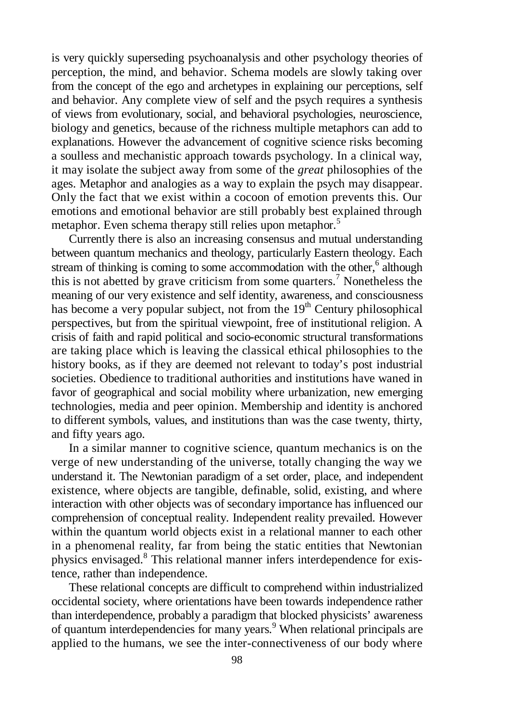is very quickly superseding psychoanalysis and other psychology theories of perception, the mind, and behavior. Schema models are slowly taking over from the concept of the ego and archetypes in explaining our perceptions, self and behavior. Any complete view of self and the psych requires a synthesis of views from evolutionary, social, and behavioral psychologies, neuroscience, biology and genetics, because of the richness multiple metaphors can add to explanations. However the advancement of cognitive science risks becoming a soulless and mechanistic approach towards psychology. In a clinical way, it may isolate the subject away from some of the *great* philosophies of the ages. Metaphor and analogies as a way to explain the psych may disappear. Only the fact that we exist within a cocoon of emotion prevents this. Our emotions and emotional behavior are still probably best explained through metaphor. Even schema therapy still relies upon metaphor*.* 5

Currently there is also an increasing consensus and mutual understanding between quantum mechanics and theology, particularly Eastern theology. Each stream of thinking is coming to some accommodation with the other,<sup>6</sup> although this is not abetted by grave criticism from some quarters.<sup>7</sup> Nonetheless the meaning of our very existence and self identity, awareness, and consciousness has become a very popular subject, not from the  $19<sup>th</sup>$  Century philosophical perspectives, but from the spiritual viewpoint, free of institutional religion. A crisis of faith and rapid political and socio-economic structural transformations are taking place which is leaving the classical ethical philosophies to the history books, as if they are deemed not relevant to today's post industrial societies. Obedience to traditional authorities and institutions have waned in favor of geographical and social mobility where urbanization, new emerging technologies, media and peer opinion. Membership and identity is anchored to different symbols, values, and institutions than was the case twenty, thirty, and fifty years ago.

In a similar manner to cognitive science, quantum mechanics is on the verge of new understanding of the universe, totally changing the way we understand it. The Newtonian paradigm of a set order, place, and independent existence, where objects are tangible, definable, solid, existing, and where interaction with other objects was of secondary importance has influenced our comprehension of conceptual reality. Independent reality prevailed. However within the quantum world objects exist in a relational manner to each other in a phenomenal reality, far from being the static entities that Newtonian physics envisaged.<sup>8</sup> This relational manner infers interdependence for existence, rather than independence.

These relational concepts are difficult to comprehend within industrialized occidental society, where orientations have been towards independence rather than interdependence, probably a paradigm that blocked physicists' awareness of quantum interdependencies for many years. 9 When relational principals are applied to the humans, we see the inter-connectiveness of our body where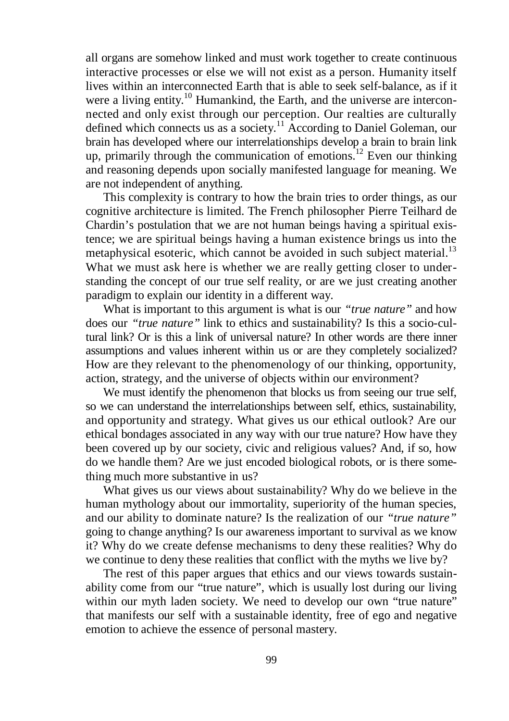all organs are somehow linked and must work together to create continuous interactive processes or else we will not exist as a person. Humanity itself lives within an interconnected Earth that is able to seek self-balance, as if it were a living entity.<sup>10</sup> Humankind, the Earth, and the universe are interconnected and only exist through our perception. Our realties are culturally defined which connects us as a society.<sup>11</sup> According to Daniel Goleman, our brain has developed where our interrelationships develop a brain to brain link up, primarily through the communication of emotions.<sup>12</sup> Even our thinking and reasoning depends upon socially manifested language for meaning. We are not independent of anything.

This complexity is contrary to how the brain tries to order things, as our cognitive architecture is limited. The French philosopher Pierre Teilhard de Chardin's postulation that we are not human beings having a spiritual existence; we are spiritual beings having a human existence brings us into the metaphysical esoteric, which cannot be avoided in such subject material.<sup>13</sup> What we must ask here is whether we are really getting closer to understanding the concept of our true self reality, or are we just creating another paradigm to explain our identity in a different way.

What is important to this argument is what is our *"true nature"* and how does our *"true nature"* link to ethics and sustainability? Is this a socio-cultural link? Or is this a link of universal nature? In other words are there inner assumptions and values inherent within us or are they completely socialized? How are they relevant to the phenomenology of our thinking, opportunity, action, strategy, and the universe of objects within our environment?

We must identify the phenomenon that blocks us from seeing our true self, so we can understand the interrelationships between self, ethics, sustainability, and opportunity and strategy. What gives us our ethical outlook? Are our ethical bondages associated in any way with our true nature? How have they been covered up by our society, civic and religious values? And, if so, how do we handle them? Are we just encoded biological robots, or is there something much more substantive in us?

What gives us our views about sustainability? Why do we believe in the human mythology about our immortality, superiority of the human species, and our ability to dominate nature? Is the realization of our *"true nature"* going to change anything? Is our awareness important to survival as we know it? Why do we create defense mechanisms to deny these realities? Why do we continue to deny these realities that conflict with the myths we live by?

The rest of this paper argues that ethics and our views towards sustainability come from our "true nature", which is usually lost during our living within our myth laden society. We need to develop our own "true nature" that manifests our self with a sustainable identity, free of ego and negative emotion to achieve the essence of personal mastery.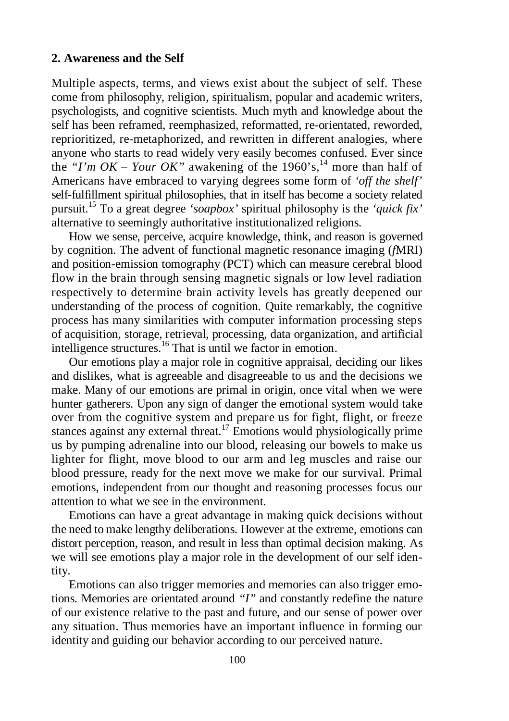### **2. Awareness and the Self**

Multiple aspects, terms, and views exist about the subject of self. These come from philosophy, religion, spiritualism, popular and academic writers, psychologists, and cognitive scientists. Much myth and knowledge about the self has been reframed, reemphasized, reformatted, re-orientated, reworded, reprioritized, re-metaphorized, and rewritten in different analogies, where anyone who starts to read widely very easily becomes confused. Ever since the "I'm  $OK - Your$  OK" awakening of the 1960's,<sup>14</sup> more than half of Americans have embraced to varying degrees some form of *'off the shelf'* self-fulfillment spiritual philosophies, that in itself has become a society related pursuit. <sup>15</sup> To a great degree *'soapbox'* spiritual philosophy is the *'quick fix'*  alternative to seemingly authoritative institutionalized religions.

How we sense, perceive, acquire knowledge, think, and reason is governed by cognition. The advent of functional magnetic resonance imaging (*f*MRI) and position-emission tomography (PCT) which can measure cerebral blood flow in the brain through sensing magnetic signals or low level radiation respectively to determine brain activity levels has greatly deepened our understanding of the process of cognition. Quite remarkably, the cognitive process has many similarities with computer information processing steps of acquisition, storage, retrieval, processing, data organization, and artificial intelligence structures. <sup>16</sup> That is until we factor in emotion.

Our emotions play a major role in cognitive appraisal, deciding our likes and dislikes, what is agreeable and disagreeable to us and the decisions we make. Many of our emotions are primal in origin, once vital when we were hunter gatherers. Upon any sign of danger the emotional system would take over from the cognitive system and prepare us for fight, flight, or freeze stances against any external threat.<sup>17</sup> Emotions would physiologically prime us by pumping adrenaline into our blood, releasing our bowels to make us lighter for flight, move blood to our arm and leg muscles and raise our blood pressure, ready for the next move we make for our survival. Primal emotions, independent from our thought and reasoning processes focus our attention to what we see in the environment.

Emotions can have a great advantage in making quick decisions without the need to make lengthy deliberations. However at the extreme, emotions can distort perception, reason, and result in less than optimal decision making. As we will see emotions play a major role in the development of our self identity.

Emotions can also trigger memories and memories can also trigger emotions. Memories are orientated around *"I"* and constantly redefine the nature of our existence relative to the past and future, and our sense of power over any situation. Thus memories have an important influence in forming our identity and guiding our behavior according to our perceived nature.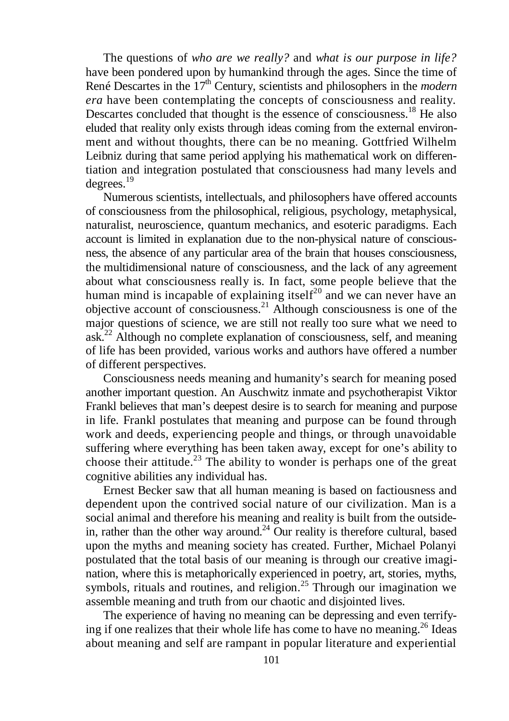The questions of *who are we really?* and *what is our purpose in life?* have been pondered upon by humankind through the ages. Since the time of René Descartes in the 17th Century, scientists and philosophers in the *modern era* have been contemplating the concepts of consciousness and reality. Descartes concluded that thought is the essence of consciousness.<sup>18</sup> He also eluded that reality only exists through ideas coming from the external environment and without thoughts, there can be no meaning. Gottfried Wilhelm Leibniz during that same period applying his mathematical work on differentiation and integration postulated that consciousness had many levels and degrees. 19

Numerous scientists, intellectuals, and philosophers have offered accounts of consciousness from the philosophical, religious, psychology, metaphysical, naturalist, neuroscience, quantum mechanics, and esoteric paradigms. Each account is limited in explanation due to the non-physical nature of consciousness, the absence of any particular area of the brain that houses consciousness, the multidimensional nature of consciousness, and the lack of any agreement about what consciousness really is. In fact, some people believe that the human mind is incapable of explaining itself<sup>20</sup> and we can never have an objective account of consciousness. <sup>21</sup> Although consciousness is one of the major questions of science, we are still not really too sure what we need to ask.<sup>22</sup> Although no complete explanation of consciousness, self, and meaning of life has been provided, various works and authors have offered a number of different perspectives.

Consciousness needs meaning and humanity's search for meaning posed another important question. An Auschwitz inmate and psychotherapist Viktor Frankl believes that man's deepest desire is to search for meaning and purpose in life. Frankl postulates that meaning and purpose can be found through work and deeds, experiencing people and things, or through unavoidable suffering where everything has been taken away, except for one's ability to choose their attitude.<sup>23</sup> The ability to wonder is perhaps one of the great cognitive abilities any individual has.

Ernest Becker saw that all human meaning is based on factiousness and dependent upon the contrived social nature of our civilization. Man is a social animal and therefore his meaning and reality is built from the outsidein, rather than the other way around.<sup>24</sup> Our reality is therefore cultural, based upon the myths and meaning society has created. Further, Michael Polanyi postulated that the total basis of our meaning is through our creative imagination, where this is metaphorically experienced in poetry, art, stories, myths, symbols, rituals and routines, and religion.<sup>25</sup> Through our imagination we assemble meaning and truth from our chaotic and disjointed lives.

The experience of having no meaning can be depressing and even terrifying if one realizes that their whole life has come to have no meaning. <sup>26</sup> Ideas about meaning and self are rampant in popular literature and experiential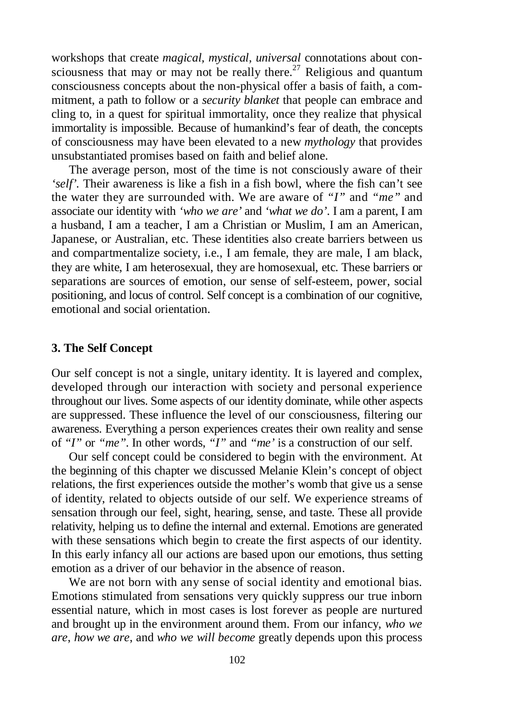workshops that create *magical, mystical, universal* connotations about consciousness that may or may not be really there.<sup>27</sup> Religious and quantum consciousness concepts about the non-physical offer a basis of faith, a commitment, a path to follow or a *security blanket* that people can embrace and cling to, in a quest for spiritual immortality, once they realize that physical immortality is impossible. Because of humankind's fear of death, the concepts of consciousness may have been elevated to a new *mythology* that provides unsubstantiated promises based on faith and belief alone.

The average person, most of the time is not consciously aware of their *'self'.* Their awareness is like a fish in a fish bowl, where the fish can't see the water they are surrounded with. We are aware of *"I"* and *"me"* and associate our identity with *'who we are'* and *'what we do'*. I am a parent, I am a husband, I am a teacher, I am a Christian or Muslim, I am an American, Japanese, or Australian, etc. These identities also create barriers between us and compartmentalize society, i.e., I am female, they are male, I am black, they are white, I am heterosexual, they are homosexual, etc. These barriers or separations are sources of emotion, our sense of self-esteem, power, social positioning, and locus of control. Self concept is a combination of our cognitive, emotional and social orientation.

### **3. The Self Concept**

Our self concept is not a single, unitary identity. It is layered and complex, developed through our interaction with society and personal experience throughout our lives. Some aspects of our identity dominate, while other aspects are suppressed. These influence the level of our consciousness, filtering our awareness. Everything a person experiences creates their own reality and sense of *"I"* or *"me"*. In other words, *"I"* and *"me'* is a construction of our self.

Our self concept could be considered to begin with the environment. At the beginning of this chapter we discussed Melanie Klein's concept of object relations, the first experiences outside the mother's womb that give us a sense of identity, related to objects outside of our self. We experience streams of sensation through our feel, sight, hearing, sense, and taste. These all provide relativity, helping us to define the internal and external. Emotions are generated with these sensations which begin to create the first aspects of our identity. In this early infancy all our actions are based upon our emotions, thus setting emotion as a driver of our behavior in the absence of reason.

We are not born with any sense of social identity and emotional bias. Emotions stimulated from sensations very quickly suppress our true inborn essential nature, which in most cases is lost forever as people are nurtured and brought up in the environment around them. From our infancy, *who we are*, *how we are*, and *who we will become* greatly depends upon this process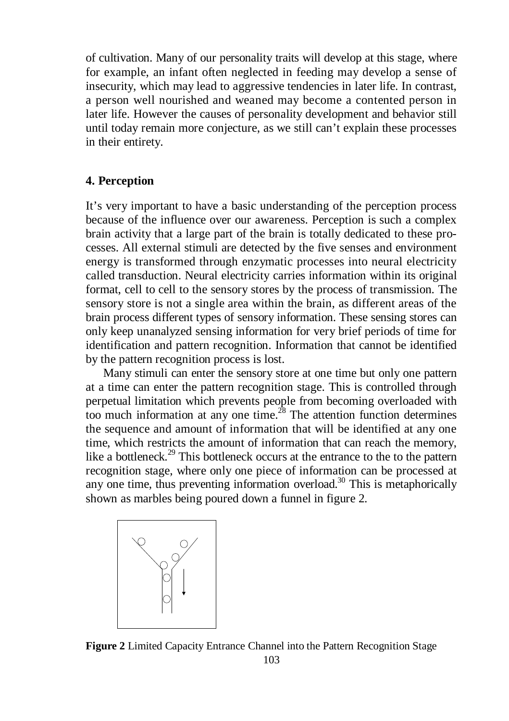of cultivation. Many of our personality traits will develop at this stage, where for example, an infant often neglected in feeding may develop a sense of insecurity, which may lead to aggressive tendencies in later life. In contrast, a person well nourished and weaned may become a contented person in later life. However the causes of personality development and behavior still until today remain more conjecture, as we still can't explain these processes in their entirety.

# **4. Perception**

It's very important to have a basic understanding of the perception process because of the influence over our awareness. Perception is such a complex brain activity that a large part of the brain is totally dedicated to these processes. All external stimuli are detected by the five senses and environment energy is transformed through enzymatic processes into neural electricity called transduction. Neural electricity carries information within its original format, cell to cell to the sensory stores by the process of transmission. The sensory store is not a single area within the brain, as different areas of the brain process different types of sensory information. These sensing stores can only keep unanalyzed sensing information for very brief periods of time for identification and pattern recognition. Information that cannot be identified by the pattern recognition process is lost.

Many stimuli can enter the sensory store at one time but only one pattern at a time can enter the pattern recognition stage. This is controlled through perpetual limitation which prevents people from becoming overloaded with too much information at any one time. $2^8$  The attention function determines the sequence and amount of information that will be identified at any one time, which restricts the amount of information that can reach the memory, like a bottleneck.<sup>29</sup> This bottleneck occurs at the entrance to the to the pattern recognition stage, where only one piece of information can be processed at any one time, thus preventing information overload. <sup>30</sup> This is metaphorically shown as marbles being poured down a funnel in figure 2.



103 **Figure 2** Limited Capacity Entrance Channel into the Pattern Recognition Stage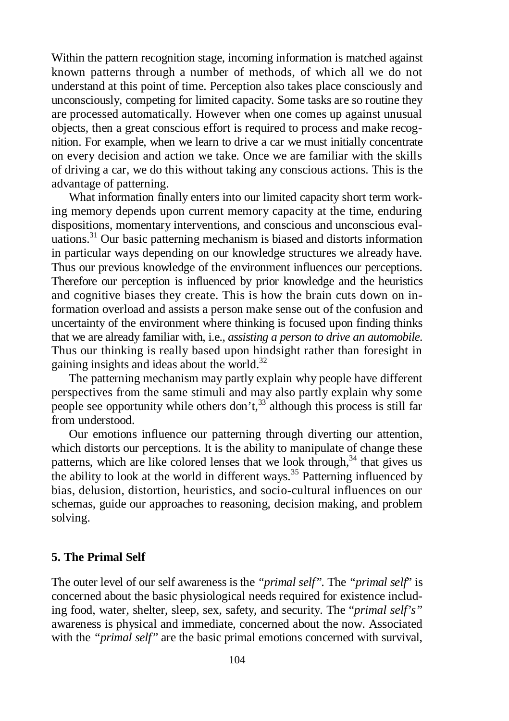Within the pattern recognition stage, incoming information is matched against known patterns through a number of methods, of which all we do not understand at this point of time. Perception also takes place consciously and unconsciously, competing for limited capacity. Some tasks are so routine they are processed automatically. However when one comes up against unusual objects, then a great conscious effort is required to process and make recognition. For example, when we learn to drive a car we must initially concentrate on every decision and action we take. Once we are familiar with the skills of driving a car, we do this without taking any conscious actions. This is the advantage of patterning.

What information finally enters into our limited capacity short term working memory depends upon current memory capacity at the time, enduring dispositions, momentary interventions, and conscious and unconscious evaluations. <sup>31</sup> Our basic patterning mechanism is biased and distorts information in particular ways depending on our knowledge structures we already have. Thus our previous knowledge of the environment influences our perceptions. Therefore our perception is influenced by prior knowledge and the heuristics and cognitive biases they create. This is how the brain cuts down on information overload and assists a person make sense out of the confusion and uncertainty of the environment where thinking is focused upon finding thinks that we are already familiar with, i.e., *assisting a person to drive an automobile*. Thus our thinking is really based upon hindsight rather than foresight in gaining insights and ideas about the world.<sup>32</sup>

The patterning mechanism may partly explain why people have different perspectives from the same stimuli and may also partly explain why some people see opportunity while others don't,  $33$  although this process is still far from understood.

Our emotions influence our patterning through diverting our attention, which distorts our perceptions. It is the ability to manipulate of change these patterns, which are like colored lenses that we look through,<sup>34</sup> that gives us the ability to look at the world in different ways.<sup>35</sup> Patterning influenced by bias, delusion, distortion, heuristics, and socio-cultural influences on our schemas, guide our approaches to reasoning, decision making, and problem solving.

# **5. The Primal Self**

The outer level of our self awareness is the *"primal self".* The *"primal self*" is concerned about the basic physiological needs required for existence including food, water, shelter, sleep, sex, safety, and security. The "*primal self's"* awareness is physical and immediate, concerned about the now. Associated with the *"primal self"* are the basic primal emotions concerned with survival,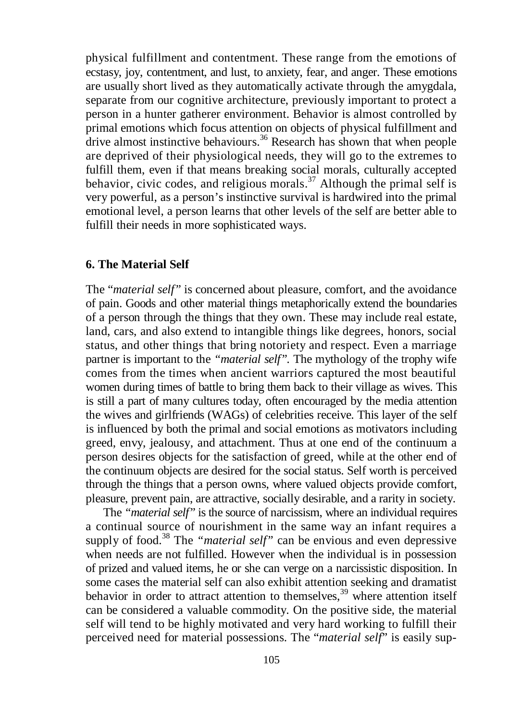physical fulfillment and contentment. These range from the emotions of ecstasy, joy, contentment, and lust, to anxiety, fear, and anger. These emotions are usually short lived as they automatically activate through the amygdala, separate from our cognitive architecture, previously important to protect a person in a hunter gatherer environment. Behavior is almost controlled by primal emotions which focus attention on objects of physical fulfillment and drive almost instinctive behaviours.<sup>36</sup> Research has shown that when people are deprived of their physiological needs, they will go to the extremes to fulfill them, even if that means breaking social morals, culturally accepted behavior, civic codes, and religious morals.<sup>37</sup> Although the primal self is very powerful, as a person's instinctive survival is hardwired into the primal emotional level, a person learns that other levels of the self are better able to fulfill their needs in more sophisticated ways.

# **6. The Material Self**

The "*material self"* is concerned about pleasure, comfort, and the avoidance of pain. Goods and other material things metaphorically extend the boundaries of a person through the things that they own. These may include real estate, land, cars, and also extend to intangible things like degrees, honors, social status, and other things that bring notoriety and respect. Even a marriage partner is important to the *"material self".* The mythology of the trophy wife comes from the times when ancient warriors captured the most beautiful women during times of battle to bring them back to their village as wives. This is still a part of many cultures today, often encouraged by the media attention the wives and girlfriends (WAGs) of celebrities receive. This layer of the self is influenced by both the primal and social emotions as motivators including greed, envy, jealousy, and attachment. Thus at one end of the continuum a person desires objects for the satisfaction of greed, while at the other end of the continuum objects are desired for the social status. Self worth is perceived through the things that a person owns, where valued objects provide comfort, pleasure, prevent pain, are attractive, socially desirable, and a rarity in society.

The *"material self"* is the source of narcissism, where an individual requires a continual source of nourishment in the same way an infant requires a supply of food. <sup>38</sup> The *"material self"* can be envious and even depressive when needs are not fulfilled. However when the individual is in possession of prized and valued items, he or she can verge on a narcissistic disposition. In some cases the material self can also exhibit attention seeking and dramatist behavior in order to attract attention to themselves,<sup>39</sup> where attention itself can be considered a valuable commodity. On the positive side, the material self will tend to be highly motivated and very hard working to fulfill their perceived need for material possessions. The "*material self*" is easily sup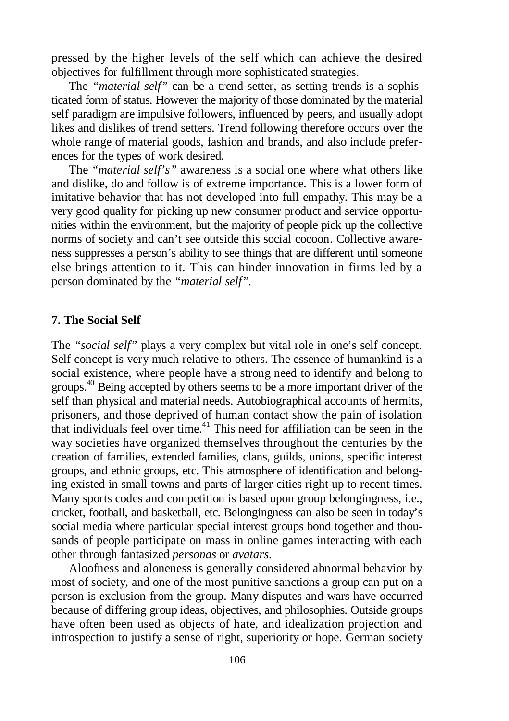pressed by the higher levels of the self which can achieve the desired objectives for fulfillment through more sophisticated strategies.

The *"material self"* can be a trend setter, as setting trends is a sophisticated form of status. However the majority of those dominated by the material self paradigm are impulsive followers, influenced by peers, and usually adopt likes and dislikes of trend setters. Trend following therefore occurs over the whole range of material goods, fashion and brands, and also include preferences for the types of work desired.

The *"material self's"* awareness is a social one where what others like and dislike, do and follow is of extreme importance. This is a lower form of imitative behavior that has not developed into full empathy. This may be a very good quality for picking up new consumer product and service opportunities within the environment, but the majority of people pick up the collective norms of society and can't see outside this social cocoon. Collective awareness suppresses a person's ability to see things that are different until someone else brings attention to it. This can hinder innovation in firms led by a person dominated by the *"material self"*.

# **7. The Social Self**

The *"social self"* plays a very complex but vital role in one's self concept. Self concept is very much relative to others. The essence of humankind is a social existence, where people have a strong need to identify and belong to groups.<sup>40</sup> Being accepted by others seems to be a more important driver of the self than physical and material needs. Autobiographical accounts of hermits, prisoners, and those deprived of human contact show the pain of isolation that individuals feel over time. <sup>41</sup> This need for affiliation can be seen in the way societies have organized themselves throughout the centuries by the creation of families, extended families, clans, guilds, unions, specific interest groups, and ethnic groups, etc. This atmosphere of identification and belonging existed in small towns and parts of larger cities right up to recent times. Many sports codes and competition is based upon group belongingness, i.e., cricket, football, and basketball, etc. Belongingness can also be seen in today's social media where particular special interest groups bond together and thousands of people participate on mass in online games interacting with each other through fantasized *personas* or *avatars*.

Aloofness and aloneness is generally considered abnormal behavior by most of society, and one of the most punitive sanctions a group can put on a person is exclusion from the group. Many disputes and wars have occurred because of differing group ideas, objectives, and philosophies. Outside groups have often been used as objects of hate, and idealization projection and introspection to justify a sense of right, superiority or hope. German society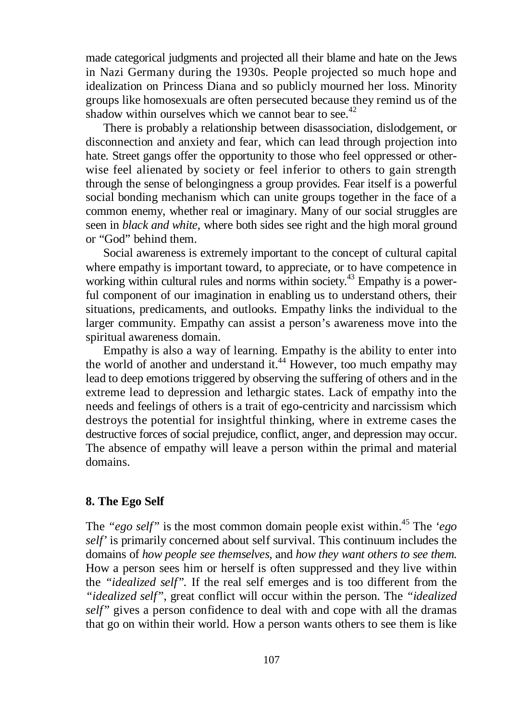made categorical judgments and projected all their blame and hate on the Jews in Nazi Germany during the 1930s. People projected so much hope and idealization on Princess Diana and so publicly mourned her loss. Minority groups like homosexuals are often persecuted because they remind us of the shadow within ourselves which we cannot bear to see.<sup>42</sup>

There is probably a relationship between disassociation, dislodgement, or disconnection and anxiety and fear, which can lead through projection into hate. Street gangs offer the opportunity to those who feel oppressed or otherwise feel alienated by society or feel inferior to others to gain strength through the sense of belongingness a group provides. Fear itself is a powerful social bonding mechanism which can unite groups together in the face of a common enemy, whether real or imaginary. Many of our social struggles are seen in *black and white*, where both sides see right and the high moral ground or "God" behind them.

Social awareness is extremely important to the concept of cultural capital where empathy is important toward, to appreciate, or to have competence in working within cultural rules and norms within society.<sup>43</sup> Empathy is a powerful component of our imagination in enabling us to understand others, their situations, predicaments, and outlooks. Empathy links the individual to the larger community. Empathy can assist a person's awareness move into the spiritual awareness domain.

Empathy is also a way of learning. Empathy is the ability to enter into the world of another and understand it.<sup>44</sup> However, too much empathy may lead to deep emotions triggered by observing the suffering of others and in the extreme lead to depression and lethargic states. Lack of empathy into the needs and feelings of others is a trait of ego-centricity and narcissism which destroys the potential for insightful thinking, where in extreme cases the destructive forces of social prejudice, conflict, anger, and depression may occur. The absence of empathy will leave a person within the primal and material domains.

# **8. The Ego Self**

The *"ego self"* is the most common domain people exist within. <sup>45</sup> The *'ego self'* is primarily concerned about self survival. This continuum includes the domains of *how people see themselves,* and *how they want others to see them.* How a person sees him or herself is often suppressed and they live within the *"idealized self".* If the real self emerges and is too different from the *"idealized self"*, great conflict will occur within the person. The *"idealized self"* gives a person confidence to deal with and cope with all the dramas that go on within their world. How a person wants others to see them is like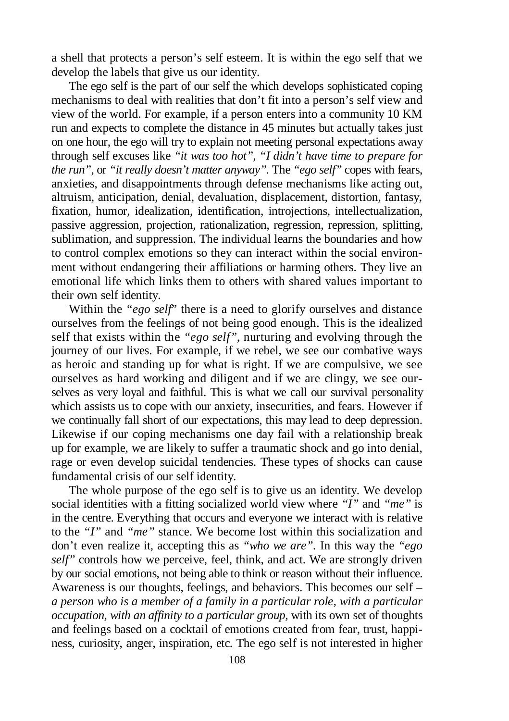a shell that protects a person's self esteem. It is within the ego self that we develop the labels that give us our identity.

The ego self is the part of our self the which develops sophisticated coping mechanisms to deal with realities that don't fit into a person's self view and view of the world. For example, if a person enters into a community 10 KM run and expects to complete the distance in 45 minutes but actually takes just on one hour, the ego will try to explain not meeting personal expectations away through self excuses like *"it was too hot", "I didn't have time to prepare for the run",* or *"it really doesn't matter anyway".* The *"ego self"* copes with fears, anxieties, and disappointments through defense mechanisms like acting out, altruism, anticipation, denial, devaluation, displacement, distortion, fantasy, fixation, humor, idealization, identification, introjections, intellectualization, passive aggression, projection, rationalization, regression, repression, splitting, sublimation, and suppression. The individual learns the boundaries and how to control complex emotions so they can interact within the social environment without endangering their affiliations or harming others. They live an emotional life which links them to others with shared values important to their own self identity.

Within the *"ego self*" there is a need to glorify ourselves and distance ourselves from the feelings of not being good enough. This is the idealized self that exists within the *"ego self"*, nurturing and evolving through the journey of our lives. For example, if we rebel, we see our combative ways as heroic and standing up for what is right. If we are compulsive, we see ourselves as hard working and diligent and if we are clingy, we see ourselves as very loyal and faithful. This is what we call our survival personality which assists us to cope with our anxiety, insecurities, and fears. However if we continually fall short of our expectations, this may lead to deep depression. Likewise if our coping mechanisms one day fail with a relationship break up for example, we are likely to suffer a traumatic shock and go into denial, rage or even develop suicidal tendencies. These types of shocks can cause fundamental crisis of our self identity.

The whole purpose of the ego self is to give us an identity. We develop social identities with a fitting socialized world view where *"I"* and *"me"* is in the centre. Everything that occurs and everyone we interact with is relative to the *"I"* and *"me"* stance. We become lost within this socialization and don't even realize it, accepting this as *"who we are".* In this way the *"ego self"* controls how we perceive, feel, think, and act. We are strongly driven by our social emotions, not being able to think or reason without their influence. Awareness is our thoughts, feelings, and behaviors. This becomes our self – *a person who is a member of a family in a particular role, with a particular occupation, with an affinity to a particular group,* with its own set of thoughts and feelings based on a cocktail of emotions created from fear, trust, happiness, curiosity, anger, inspiration, etc. The ego self is not interested in higher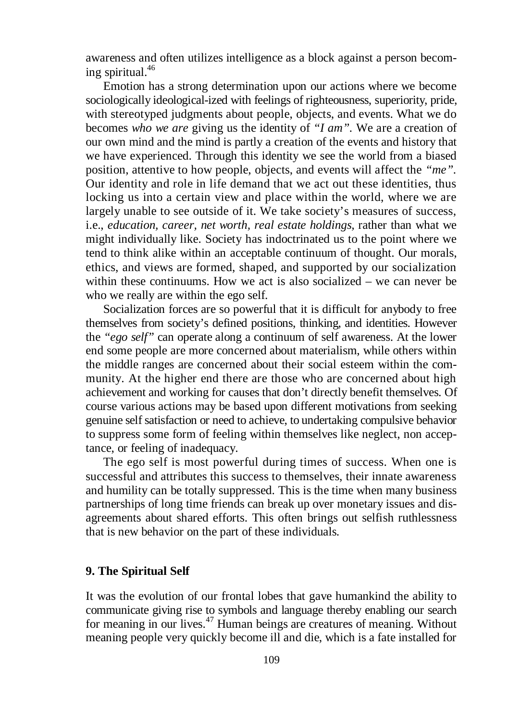awareness and often utilizes intelligence as a block against a person becoming spiritual. 46

Emotion has a strong determination upon our actions where we become sociologically ideological-ized with feelings of righteousness, superiority, pride, with stereotyped judgments about people, objects, and events. What we do becomes *who we are* giving us the identity of *"I am".* We are a creation of our own mind and the mind is partly a creation of the events and history that we have experienced. Through this identity we see the world from a biased position, attentive to how people, objects, and events will affect the *"me".* Our identity and role in life demand that we act out these identities, thus locking us into a certain view and place within the world, where we are largely unable to see outside of it. We take society's measures of success, i.e., *education, career, net worth, real estate holdings,* rather than what we might individually like. Society has indoctrinated us to the point where we tend to think alike within an acceptable continuum of thought. Our morals, ethics, and views are formed, shaped, and supported by our socialization within these continuums. How we act is also socialized – we can never be who we really are within the ego self.

Socialization forces are so powerful that it is difficult for anybody to free themselves from society's defined positions, thinking, and identities. However the *"ego self"* can operate along a continuum of self awareness. At the lower end some people are more concerned about materialism, while others within the middle ranges are concerned about their social esteem within the community. At the higher end there are those who are concerned about high achievement and working for causes that don't directly benefit themselves. Of course various actions may be based upon different motivations from seeking genuine self satisfaction or need to achieve, to undertaking compulsive behavior to suppress some form of feeling within themselves like neglect, non acceptance, or feeling of inadequacy.

The ego self is most powerful during times of success. When one is successful and attributes this success to themselves, their innate awareness and humility can be totally suppressed. This is the time when many business partnerships of long time friends can break up over monetary issues and disagreements about shared efforts. This often brings out selfish ruthlessness that is new behavior on the part of these individuals.

# **9. The Spiritual Self**

It was the evolution of our frontal lobes that gave humankind the ability to communicate giving rise to symbols and language thereby enabling our search for meaning in our lives. <sup>47</sup> Human beings are creatures of meaning. Without meaning people very quickly become ill and die, which is a fate installed for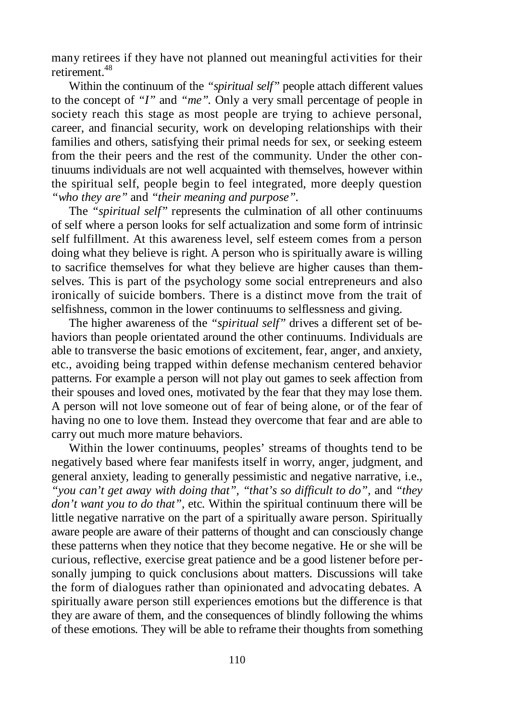many retirees if they have not planned out meaningful activities for their retirement. 48

Within the continuum of the *"spiritual self"* people attach different values to the concept of *"I"* and *"me".* Only a very small percentage of people in society reach this stage as most people are trying to achieve personal, career, and financial security, work on developing relationships with their families and others, satisfying their primal needs for sex, or seeking esteem from the their peers and the rest of the community. Under the other continuums individuals are not well acquainted with themselves, however within the spiritual self, people begin to feel integrated, more deeply question *"who they are"* and *"their meaning and purpose"*.

The *"spiritual self"* represents the culmination of all other continuums of self where a person looks for self actualization and some form of intrinsic self fulfillment. At this awareness level, self esteem comes from a person doing what they believe is right. A person who is spiritually aware is willing to sacrifice themselves for what they believe are higher causes than themselves. This is part of the psychology some social entrepreneurs and also ironically of suicide bombers. There is a distinct move from the trait of selfishness, common in the lower continuums to selflessness and giving.

The higher awareness of the *"spiritual self"* drives a different set of behaviors than people orientated around the other continuums. Individuals are able to transverse the basic emotions of excitement, fear, anger, and anxiety, etc., avoiding being trapped within defense mechanism centered behavior patterns. For example a person will not play out games to seek affection from their spouses and loved ones, motivated by the fear that they may lose them. A person will not love someone out of fear of being alone, or of the fear of having no one to love them. Instead they overcome that fear and are able to carry out much more mature behaviors.

Within the lower continuums, peoples' streams of thoughts tend to be negatively based where fear manifests itself in worry, anger, judgment, and general anxiety, leading to generally pessimistic and negative narrative, i.e., "you can't get away with doing that", "that's so difficult to do", and "they *don't want you to do that"*, etc. Within the spiritual continuum there will be little negative narrative on the part of a spiritually aware person. Spiritually aware people are aware of their patterns of thought and can consciously change these patterns when they notice that they become negative. He or she will be curious, reflective, exercise great patience and be a good listener before personally jumping to quick conclusions about matters. Discussions will take the form of dialogues rather than opinionated and advocating debates. A spiritually aware person still experiences emotions but the difference is that they are aware of them, and the consequences of blindly following the whims of these emotions. They will be able to reframe their thoughts from something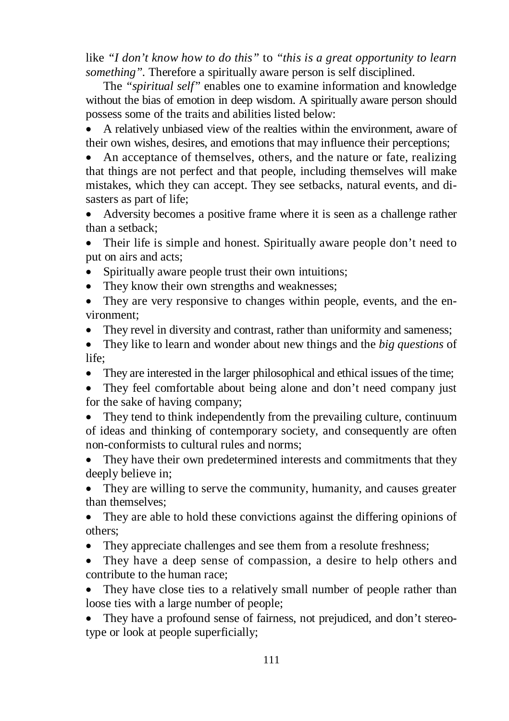like *"I don't know how to do this"* to *"this is a great opportunity to learn something".* Therefore a spiritually aware person is self disciplined.

The *"spiritual self"* enables one to examine information and knowledge without the bias of emotion in deep wisdom. A spiritually aware person should possess some of the traits and abilities listed below:

 A relatively unbiased view of the realties within the environment, aware of their own wishes, desires, and emotions that may influence their perceptions;

 An acceptance of themselves, others, and the nature or fate, realizing that things are not perfect and that people, including themselves will make mistakes, which they can accept. They see setbacks, natural events, and disasters as part of life;

 Adversity becomes a positive frame where it is seen as a challenge rather than a setback;

 Their life is simple and honest. Spiritually aware people don't need to put on airs and acts;

Spiritually aware people trust their own intuitions;

• They know their own strengths and weaknesses;

 They are very responsive to changes within people, events, and the environment;

They revel in diversity and contrast, rather than uniformity and sameness;

 They like to learn and wonder about new things and the *big questions* of life<sup>.</sup>

They are interested in the larger philosophical and ethical issues of the time;

• They feel comfortable about being alone and don't need company just for the sake of having company;

• They tend to think independently from the prevailing culture, continuum of ideas and thinking of contemporary society, and consequently are often non-conformists to cultural rules and norms;

 They have their own predetermined interests and commitments that they deeply believe in;

 They are willing to serve the community, humanity, and causes greater than themselves;

 They are able to hold these convictions against the differing opinions of others;

They appreciate challenges and see them from a resolute freshness;

 They have a deep sense of compassion, a desire to help others and contribute to the human race;

 They have close ties to a relatively small number of people rather than loose ties with a large number of people;

 They have a profound sense of fairness, not prejudiced, and don't stereotype or look at people superficially;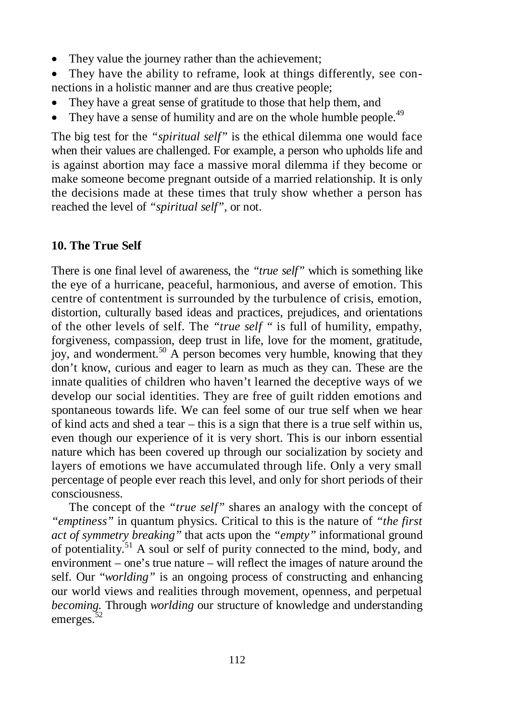- They value the journey rather than the achievement;
- They have the ability to reframe, look at things differently, see connections in a holistic manner and are thus creative people;
- They have a great sense of gratitude to those that help them, and
- They have a sense of humility and are on the whole humble people. $49$

The big test for the *"spiritual self"* is the ethical dilemma one would face when their values are challenged. For example, a person who upholds life and is against abortion may face a massive moral dilemma if they become or make someone become pregnant outside of a married relationship. It is only the decisions made at these times that truly show whether a person has reached the level of *"spiritual self",* or not.

# **10. The True Self**

There is one final level of awareness, the *"true self"* which is something like the eye of a hurricane, peaceful, harmonious, and averse of emotion. This centre of contentment is surrounded by the turbulence of crisis, emotion, distortion, culturally based ideas and practices, prejudices, and orientations of the other levels of self. The *"true self "* is full of humility, empathy, forgiveness, compassion, deep trust in life, love for the moment, gratitude, joy, and wonderment.<sup>50</sup> A person becomes very humble, knowing that they don't know, curious and eager to learn as much as they can. These are the innate qualities of children who haven't learned the deceptive ways of we develop our social identities. They are free of guilt ridden emotions and spontaneous towards life. We can feel some of our true self when we hear of kind acts and shed a tear – this is a sign that there is a true self within us, even though our experience of it is very short. This is our inborn essential nature which has been covered up through our socialization by society and layers of emotions we have accumulated through life. Only a very small percentage of people ever reach this level, and only for short periods of their consciousness.

The concept of the *"true self"* shares an analogy with the concept of *"emptiness"* in quantum physics. Critical to this is the nature of *"the first act of symmetry breaking"* that acts upon the *"empty"* informational ground of potentiality.<sup>51</sup> A soul or self of purity connected to the mind, body, and environment – one's true nature – will reflect the images of nature around the self. Our "*worlding"* is an ongoing process of constructing and enhancing our world views and realities through movement, openness, and perpetual *becoming.* Through *worlding* our structure of knowledge and understanding emerges.<sup>52</sup>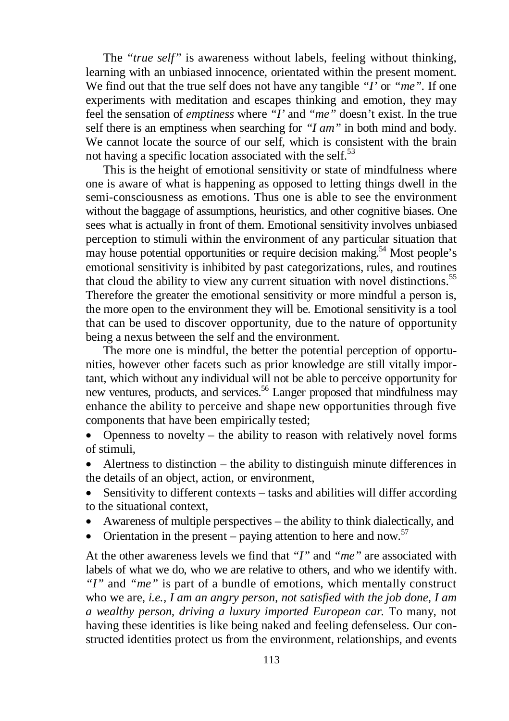The *"true self"* is awareness without labels, feeling without thinking, learning with an unbiased innocence, orientated within the present moment. We find out that the true self does not have any tangible *"I'* or *"me".* If one experiments with meditation and escapes thinking and emotion, they may feel the sensation of *emptiness* where *"I'* and *"me"* doesn't exist. In the true self there is an emptiness when searching for *"I am"* in both mind and body. We cannot locate the source of our self, which is consistent with the brain not having a specific location associated with the self.<sup>53</sup>

This is the height of emotional sensitivity or state of mindfulness where one is aware of what is happening as opposed to letting things dwell in the semi-consciousness as emotions. Thus one is able to see the environment without the baggage of assumptions, heuristics, and other cognitive biases. One sees what is actually in front of them. Emotional sensitivity involves unbiased perception to stimuli within the environment of any particular situation that may house potential opportunities or require decision making.<sup>54</sup> Most people's emotional sensitivity is inhibited by past categorizations, rules, and routines that cloud the ability to view any current situation with novel distinctions.<sup>55</sup> Therefore the greater the emotional sensitivity or more mindful a person is, the more open to the environment they will be. Emotional sensitivity is a tool that can be used to discover opportunity, due to the nature of opportunity being a nexus between the self and the environment.

The more one is mindful, the better the potential perception of opportunities, however other facets such as prior knowledge are still vitally important, which without any individual will not be able to perceive opportunity for new ventures, products, and services. <sup>56</sup> Langer proposed that mindfulness may enhance the ability to perceive and shape new opportunities through five components that have been empirically tested;

 Openness to novelty – the ability to reason with relatively novel forms of stimuli,

 Alertness to distinction – the ability to distinguish minute differences in the details of an object, action, or environment,

 Sensitivity to different contexts – tasks and abilities will differ according to the situational context,

- Awareness of multiple perspectives the ability to think dialectically, and
- Orientation in the present paying attention to here and now. $57$

At the other awareness levels we find that *"I"* and *"me"* are associated with labels of what we do, who we are relative to others, and who we identify with. *"I"* and *"me"* is part of a bundle of emotions, which mentally construct who we are, *i.e., I am an angry person, not satisfied with the job done, I am a wealthy person, driving a luxury imported European car.* To many, not having these identities is like being naked and feeling defenseless. Our constructed identities protect us from the environment, relationships, and events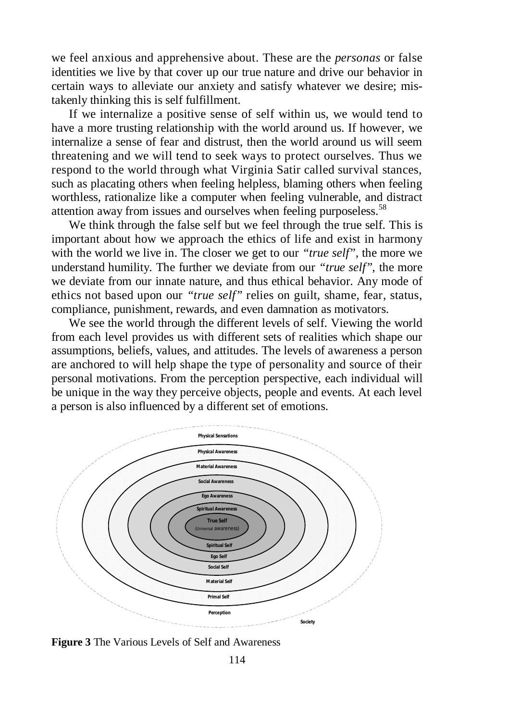we feel anxious and apprehensive about. These are the *personas* or false identities we live by that cover up our true nature and drive our behavior in certain ways to alleviate our anxiety and satisfy whatever we desire; mistakenly thinking this is self fulfillment.

If we internalize a positive sense of self within us, we would tend to have a more trusting relationship with the world around us. If however, we internalize a sense of fear and distrust, then the world around us will seem threatening and we will tend to seek ways to protect ourselves. Thus we respond to the world through what Virginia Satir called survival stances, such as placating others when feeling helpless, blaming others when feeling worthless, rationalize like a computer when feeling vulnerable, and distract attention away from issues and ourselves when feeling purposeless.<sup>58</sup>

We think through the false self but we feel through the true self. This is important about how we approach the ethics of life and exist in harmony with the world we live in. The closer we get to our *"true self"*, the more we understand humility. The further we deviate from our *"true self"*, the more we deviate from our innate nature, and thus ethical behavior. Any mode of ethics not based upon our *"true self"* relies on guilt, shame, fear, status, compliance, punishment, rewards, and even damnation as motivators.

We see the world through the different levels of self. Viewing the world from each level provides us with different sets of realities which shape our assumptions, beliefs, values, and attitudes. The levels of awareness a person are anchored to will help shape the type of personality and source of their personal motivations. From the perception perspective, each individual will be unique in the way they perceive objects, people and events. At each level a person is also influenced by a different set of emotions.



**Figure 3** The Various Levels of Self and Awareness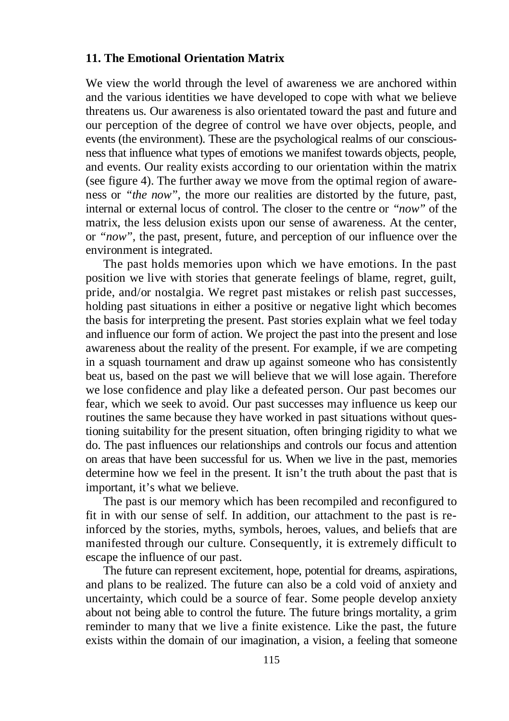# **11. The Emotional Orientation Matrix**

We view the world through the level of awareness we are anchored within and the various identities we have developed to cope with what we believe threatens us. Our awareness is also orientated toward the past and future and our perception of the degree of control we have over objects, people, and events (the environment). These are the psychological realms of our consciousness that influence what types of emotions we manifest towards objects, people, and events. Our reality exists according to our orientation within the matrix (see figure 4). The further away we move from the optimal region of awareness or *"the now",* the more our realities are distorted by the future, past, internal or external locus of control. The closer to the centre or *"now"* of the matrix, the less delusion exists upon our sense of awareness. At the center, or *"now"*, the past, present, future, and perception of our influence over the environment is integrated.

The past holds memories upon which we have emotions. In the past position we live with stories that generate feelings of blame, regret, guilt, pride, and/or nostalgia. We regret past mistakes or relish past successes, holding past situations in either a positive or negative light which becomes the basis for interpreting the present. Past stories explain what we feel today and influence our form of action. We project the past into the present and lose awareness about the reality of the present. For example, if we are competing in a squash tournament and draw up against someone who has consistently beat us, based on the past we will believe that we will lose again. Therefore we lose confidence and play like a defeated person. Our past becomes our fear, which we seek to avoid. Our past successes may influence us keep our routines the same because they have worked in past situations without questioning suitability for the present situation, often bringing rigidity to what we do. The past influences our relationships and controls our focus and attention on areas that have been successful for us. When we live in the past, memories determine how we feel in the present. It isn't the truth about the past that is important, it's what we believe.

The past is our memory which has been recompiled and reconfigured to fit in with our sense of self. In addition, our attachment to the past is reinforced by the stories, myths, symbols, heroes, values, and beliefs that are manifested through our culture. Consequently, it is extremely difficult to escape the influence of our past.

The future can represent excitement, hope, potential for dreams, aspirations, and plans to be realized. The future can also be a cold void of anxiety and uncertainty, which could be a source of fear. Some people develop anxiety about not being able to control the future. The future brings mortality, a grim reminder to many that we live a finite existence. Like the past, the future exists within the domain of our imagination, a vision, a feeling that someone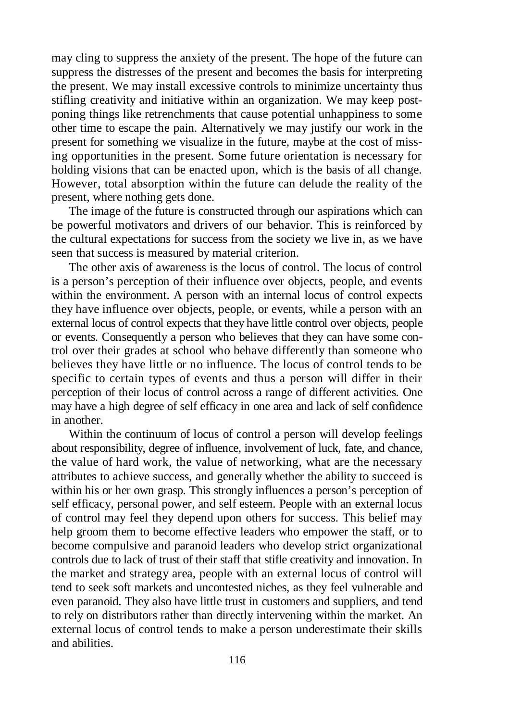may cling to suppress the anxiety of the present. The hope of the future can suppress the distresses of the present and becomes the basis for interpreting the present. We may install excessive controls to minimize uncertainty thus stifling creativity and initiative within an organization. We may keep postponing things like retrenchments that cause potential unhappiness to some other time to escape the pain. Alternatively we may justify our work in the present for something we visualize in the future, maybe at the cost of missing opportunities in the present. Some future orientation is necessary for holding visions that can be enacted upon, which is the basis of all change. However, total absorption within the future can delude the reality of the present, where nothing gets done.

The image of the future is constructed through our aspirations which can be powerful motivators and drivers of our behavior. This is reinforced by the cultural expectations for success from the society we live in, as we have seen that success is measured by material criterion.

The other axis of awareness is the locus of control. The locus of control is a person's perception of their influence over objects, people, and events within the environment. A person with an internal locus of control expects they have influence over objects, people, or events, while a person with an external locus of control expects that they have little control over objects, people or events. Consequently a person who believes that they can have some control over their grades at school who behave differently than someone who believes they have little or no influence. The locus of control tends to be specific to certain types of events and thus a person will differ in their perception of their locus of control across a range of different activities. One may have a high degree of self efficacy in one area and lack of self confidence in another.

Within the continuum of locus of control a person will develop feelings about responsibility, degree of influence, involvement of luck, fate, and chance, the value of hard work, the value of networking, what are the necessary attributes to achieve success, and generally whether the ability to succeed is within his or her own grasp. This strongly influences a person's perception of self efficacy, personal power, and self esteem. People with an external locus of control may feel they depend upon others for success. This belief may help groom them to become effective leaders who empower the staff, or to become compulsive and paranoid leaders who develop strict organizational controls due to lack of trust of their staff that stifle creativity and innovation. In the market and strategy area, people with an external locus of control will tend to seek soft markets and uncontested niches, as they feel vulnerable and even paranoid. They also have little trust in customers and suppliers, and tend to rely on distributors rather than directly intervening within the market. An external locus of control tends to make a person underestimate their skills and abilities.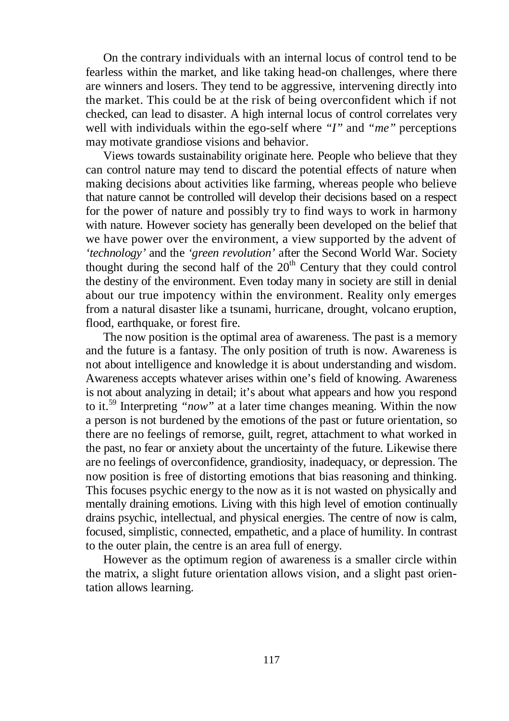On the contrary individuals with an internal locus of control tend to be fearless within the market, and like taking head-on challenges, where there are winners and losers. They tend to be aggressive, intervening directly into the market. This could be at the risk of being overconfident which if not checked, can lead to disaster. A high internal locus of control correlates very well with individuals within the ego-self where *"I"* and *"me"* perceptions may motivate grandiose visions and behavior.

Views towards sustainability originate here. People who believe that they can control nature may tend to discard the potential effects of nature when making decisions about activities like farming, whereas people who believe that nature cannot be controlled will develop their decisions based on a respect for the power of nature and possibly try to find ways to work in harmony with nature. However society has generally been developed on the belief that we have power over the environment, a view supported by the advent of *'technology'* and the *'green revolution'* after the Second World War. Society thought during the second half of the  $20<sup>th</sup>$  Century that they could control the destiny of the environment. Even today many in society are still in denial about our true impotency within the environment. Reality only emerges from a natural disaster like a tsunami, hurricane, drought, volcano eruption, flood, earthquake, or forest fire.

The now position is the optimal area of awareness. The past is a memory and the future is a fantasy. The only position of truth is now. Awareness is not about intelligence and knowledge it is about understanding and wisdom. Awareness accepts whatever arises within one's field of knowing. Awareness is not about analyzing in detail; it's about what appears and how you respond to it. <sup>59</sup> Interpreting *"now"* at a later time changes meaning. Within the now a person is not burdened by the emotions of the past or future orientation, so there are no feelings of remorse, guilt, regret, attachment to what worked in the past, no fear or anxiety about the uncertainty of the future. Likewise there are no feelings of overconfidence, grandiosity, inadequacy, or depression. The now position is free of distorting emotions that bias reasoning and thinking. This focuses psychic energy to the now as it is not wasted on physically and mentally draining emotions. Living with this high level of emotion continually drains psychic, intellectual, and physical energies. The centre of now is calm, focused, simplistic, connected, empathetic, and a place of humility. In contrast to the outer plain, the centre is an area full of energy.

However as the optimum region of awareness is a smaller circle within the matrix, a slight future orientation allows vision, and a slight past orientation allows learning.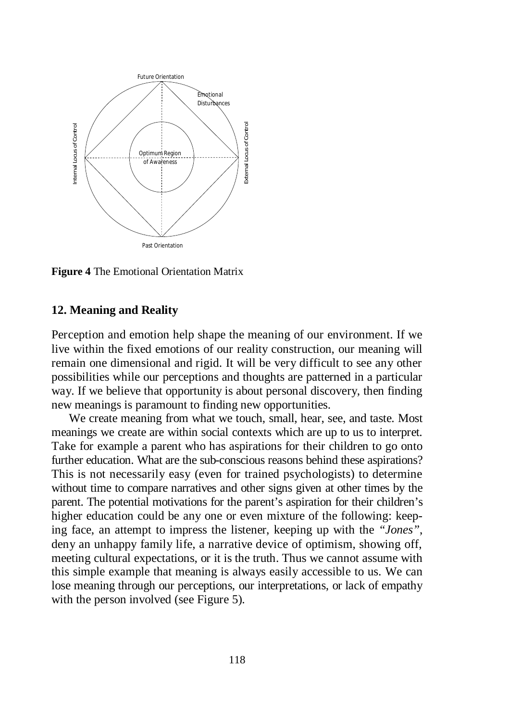

**Figure 4** The Emotional Orientation Matrix

### **12. Meaning and Reality**

Perception and emotion help shape the meaning of our environment. If we live within the fixed emotions of our reality construction, our meaning will remain one dimensional and rigid. It will be very difficult to see any other possibilities while our perceptions and thoughts are patterned in a particular way. If we believe that opportunity is about personal discovery, then finding new meanings is paramount to finding new opportunities.

We create meaning from what we touch, small, hear, see, and taste. Most meanings we create are within social contexts which are up to us to interpret. Take for example a parent who has aspirations for their children to go onto further education. What are the sub-conscious reasons behind these aspirations? This is not necessarily easy (even for trained psychologists) to determine without time to compare narratives and other signs given at other times by the parent. The potential motivations for the parent's aspiration for their children's higher education could be any one or even mixture of the following: keeping face, an attempt to impress the listener, keeping up with the *"Jones"*, deny an unhappy family life, a narrative device of optimism, showing off, meeting cultural expectations, or it is the truth. Thus we cannot assume with this simple example that meaning is always easily accessible to us. We can lose meaning through our perceptions, our interpretations, or lack of empathy with the person involved (see Figure 5).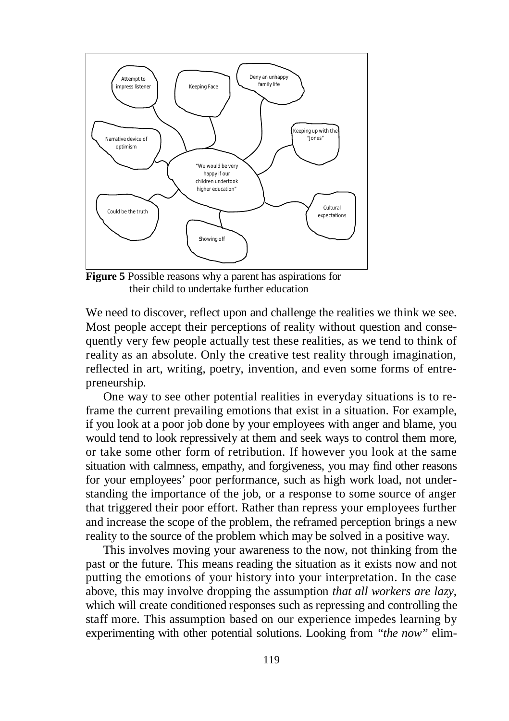

**Figure 5** Possible reasons why a parent has aspirations for their child to undertake further education

We need to discover, reflect upon and challenge the realities we think we see. Most people accept their perceptions of reality without question and consequently very few people actually test these realities, as we tend to think of reality as an absolute. Only the creative test reality through imagination, reflected in art, writing, poetry, invention, and even some forms of entrepreneurship.

One way to see other potential realities in everyday situations is to reframe the current prevailing emotions that exist in a situation. For example, if you look at a poor job done by your employees with anger and blame, you would tend to look repressively at them and seek ways to control them more, or take some other form of retribution. If however you look at the same situation with calmness, empathy, and forgiveness, you may find other reasons for your employees' poor performance, such as high work load, not understanding the importance of the job, or a response to some source of anger that triggered their poor effort. Rather than repress your employees further and increase the scope of the problem, the reframed perception brings a new reality to the source of the problem which may be solved in a positive way.

This involves moving your awareness to the now, not thinking from the past or the future. This means reading the situation as it exists now and not putting the emotions of your history into your interpretation. In the case above, this may involve dropping the assumption *that all workers are lazy*, which will create conditioned responses such as repressing and controlling the staff more. This assumption based on our experience impedes learning by experimenting with other potential solutions. Looking from *"the now"* elim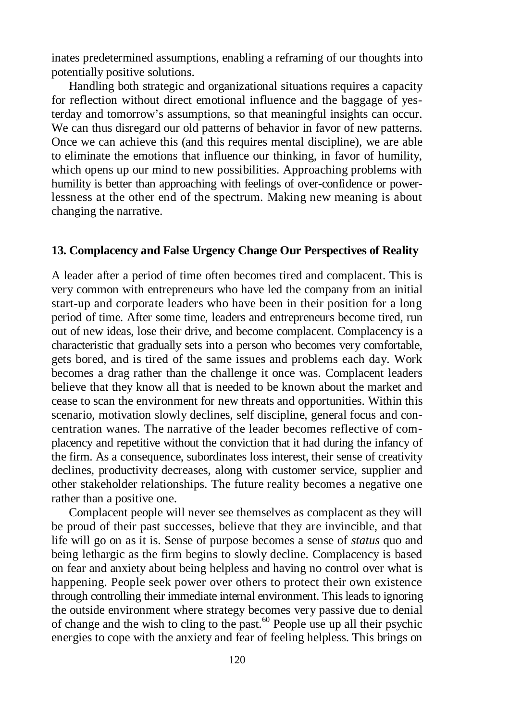inates predetermined assumptions, enabling a reframing of our thoughts into potentially positive solutions.

Handling both strategic and organizational situations requires a capacity for reflection without direct emotional influence and the baggage of yesterday and tomorrow's assumptions, so that meaningful insights can occur. We can thus disregard our old patterns of behavior in favor of new patterns. Once we can achieve this (and this requires mental discipline), we are able to eliminate the emotions that influence our thinking, in favor of humility, which opens up our mind to new possibilities. Approaching problems with humility is better than approaching with feelings of over-confidence or powerlessness at the other end of the spectrum. Making new meaning is about changing the narrative.

# **13. Complacency and False Urgency Change Our Perspectives of Reality**

A leader after a period of time often becomes tired and complacent. This is very common with entrepreneurs who have led the company from an initial start-up and corporate leaders who have been in their position for a long period of time. After some time, leaders and entrepreneurs become tired, run out of new ideas, lose their drive, and become complacent. Complacency is a characteristic that gradually sets into a person who becomes very comfortable, gets bored, and is tired of the same issues and problems each day. Work becomes a drag rather than the challenge it once was. Complacent leaders believe that they know all that is needed to be known about the market and cease to scan the environment for new threats and opportunities. Within this scenario, motivation slowly declines, self discipline, general focus and concentration wanes. The narrative of the leader becomes reflective of complacency and repetitive without the conviction that it had during the infancy of the firm. As a consequence, subordinates loss interest, their sense of creativity declines, productivity decreases, along with customer service, supplier and other stakeholder relationships. The future reality becomes a negative one rather than a positive one.

Complacent people will never see themselves as complacent as they will be proud of their past successes, believe that they are invincible, and that life will go on as it is. Sense of purpose becomes a sense of *status* quo and being lethargic as the firm begins to slowly decline. Complacency is based on fear and anxiety about being helpless and having no control over what is happening. People seek power over others to protect their own existence through controlling their immediate internal environment. This leads to ignoring the outside environment where strategy becomes very passive due to denial of change and the wish to cling to the past. $60$  People use up all their psychic energies to cope with the anxiety and fear of feeling helpless. This brings on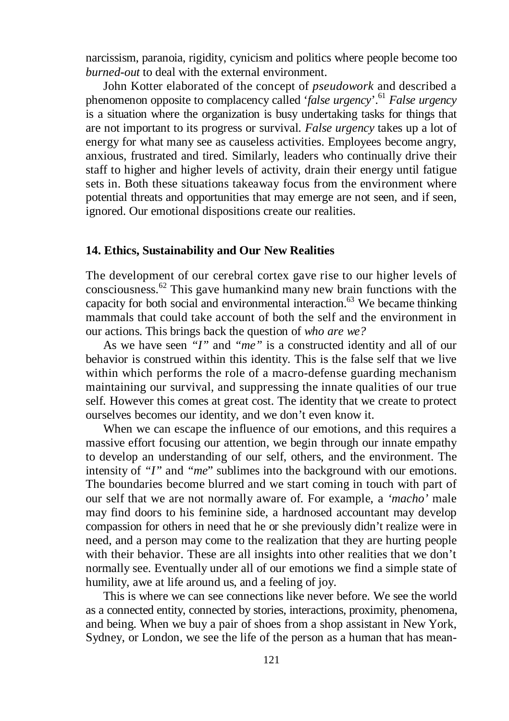narcissism, paranoia, rigidity, cynicism and politics where people become too *burned-out* to deal with the external environment.

John Kotter elaborated of the concept of *pseudowork* and described a phenomenon opposite to complacency called '*false urgency*'.<sup>61</sup> *False urgency* is a situation where the organization is busy undertaking tasks for things that are not important to its progress or survival. *False urgency* takes up a lot of energy for what many see as causeless activities. Employees become angry, anxious, frustrated and tired. Similarly, leaders who continually drive their staff to higher and higher levels of activity, drain their energy until fatigue sets in. Both these situations takeaway focus from the environment where potential threats and opportunities that may emerge are not seen, and if seen, ignored. Our emotional dispositions create our realities.

#### **14. Ethics, Sustainability and Our New Realities**

The development of our cerebral cortex gave rise to our higher levels of consciousness. <sup>62</sup> This gave humankind many new brain functions with the capacity for both social and environmental interaction. <sup>63</sup> We became thinking mammals that could take account of both the self and the environment in our actions. This brings back the question of *who are we?*

As we have seen *"I"* and *"me"* is a constructed identity and all of our behavior is construed within this identity. This is the false self that we live within which performs the role of a macro-defense guarding mechanism maintaining our survival, and suppressing the innate qualities of our true self. However this comes at great cost. The identity that we create to protect ourselves becomes our identity, and we don't even know it.

When we can escape the influence of our emotions, and this requires a massive effort focusing our attention, we begin through our innate empathy to develop an understanding of our self, others, and the environment. The intensity of *"I"* and *"me*" sublimes into the background with our emotions. The boundaries become blurred and we start coming in touch with part of our self that we are not normally aware of. For example, a *'macho'* male may find doors to his feminine side, a hardnosed accountant may develop compassion for others in need that he or she previously didn't realize were in need, and a person may come to the realization that they are hurting people with their behavior. These are all insights into other realities that we don't normally see. Eventually under all of our emotions we find a simple state of humility, awe at life around us, and a feeling of joy.

This is where we can see connections like never before. We see the world as a connected entity, connected by stories, interactions, proximity, phenomena, and being. When we buy a pair of shoes from a shop assistant in New York, Sydney, or London, we see the life of the person as a human that has mean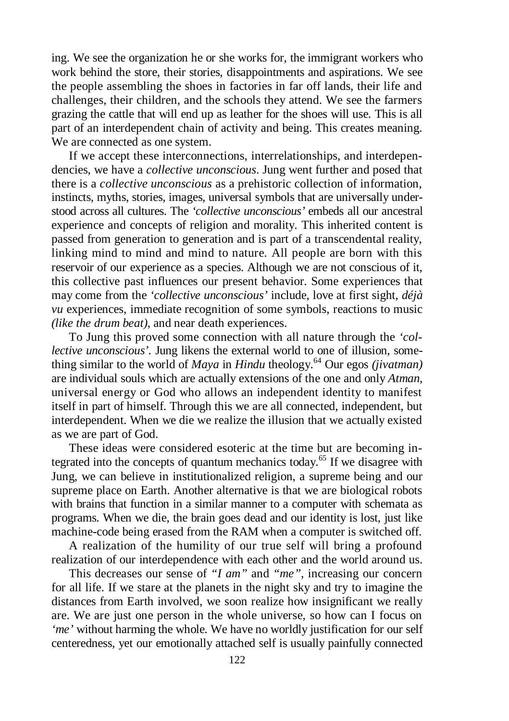ing. We see the organization he or she works for, the immigrant workers who work behind the store, their stories, disappointments and aspirations. We see the people assembling the shoes in factories in far off lands, their life and challenges, their children, and the schools they attend. We see the farmers grazing the cattle that will end up as leather for the shoes will use. This is all part of an interdependent chain of activity and being. This creates meaning. We are connected as one system.

If we accept these interconnections, interrelationships, and interdependencies, we have a *collective unconscious*. Jung went further and posed that there is a *collective unconscious* as a prehistoric collection of information, instincts, myths, stories, images, universal symbols that are universally understood across all cultures. The *'collective unconscious'* embeds all our ancestral experience and concepts of religion and morality. This inherited content is passed from generation to generation and is part of a transcendental reality, linking mind to mind and mind to nature. All people are born with this reservoir of our experience as a species. Although we are not conscious of it, this collective past influences our present behavior. Some experiences that may come from the *'collective unconscious'* include, love at first sight, *déjà vu* experiences, immediate recognition of some symbols, reactions to music *(like the drum beat)*, and near death experiences.

To Jung this proved some connection with all nature through the *'collective unconscious'*. Jung likens the external world to one of illusion, something similar to the world of *Maya* in *Hindu* theology. <sup>64</sup> Our egos *(jivatman)* are individual souls which are actually extensions of the one and only *Atman*, universal energy or God who allows an independent identity to manifest itself in part of himself. Through this we are all connected, independent, but interdependent. When we die we realize the illusion that we actually existed as we are part of God.

These ideas were considered esoteric at the time but are becoming integrated into the concepts of quantum mechanics today. <sup>65</sup> If we disagree with Jung, we can believe in institutionalized religion, a supreme being and our supreme place on Earth. Another alternative is that we are biological robots with brains that function in a similar manner to a computer with schemata as programs. When we die, the brain goes dead and our identity is lost, just like machine-code being erased from the RAM when a computer is switched off.

A realization of the humility of our true self will bring a profound realization of our interdependence with each other and the world around us.

This decreases our sense of *"I am"* and *"me"*, increasing our concern for all life. If we stare at the planets in the night sky and try to imagine the distances from Earth involved, we soon realize how insignificant we really are. We are just one person in the whole universe, so how can I focus on *'me'* without harming the whole. We have no worldly justification for our self centeredness, yet our emotionally attached self is usually painfully connected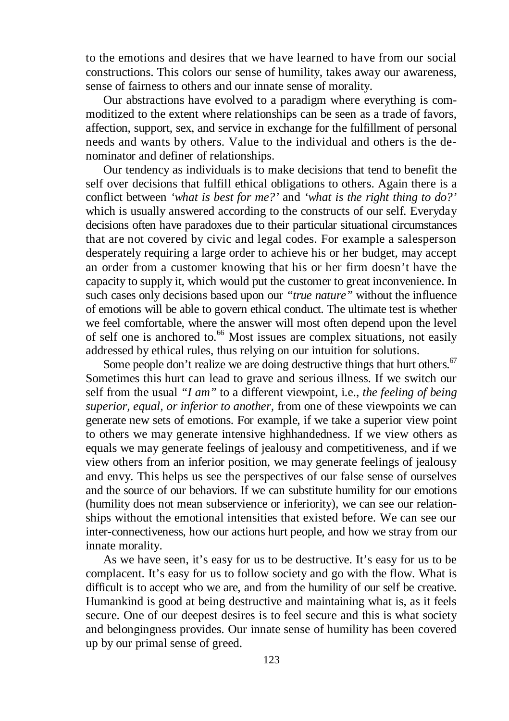to the emotions and desires that we have learned to have from our social constructions. This colors our sense of humility, takes away our awareness, sense of fairness to others and our innate sense of morality.

Our abstractions have evolved to a paradigm where everything is commoditized to the extent where relationships can be seen as a trade of favors, affection, support, sex, and service in exchange for the fulfillment of personal needs and wants by others. Value to the individual and others is the denominator and definer of relationships.

Our tendency as individuals is to make decisions that tend to benefit the self over decisions that fulfill ethical obligations to others. Again there is a conflict between *'what is best for me?'* and *'what is the right thing to do?'* which is usually answered according to the constructs of our self. Everyday decisions often have paradoxes due to their particular situational circumstances that are not covered by civic and legal codes. For example a salesperson desperately requiring a large order to achieve his or her budget, may accept an order from a customer knowing that his or her firm doesn't have the capacity to supply it, which would put the customer to great inconvenience. In such cases only decisions based upon our *"true nature"* without the influence of emotions will be able to govern ethical conduct. The ultimate test is whether we feel comfortable, where the answer will most often depend upon the level of self one is anchored to. <sup>66</sup> Most issues are complex situations, not easily addressed by ethical rules, thus relying on our intuition for solutions.

Some people don't realize we are doing destructive things that hurt others.<sup>67</sup> Sometimes this hurt can lead to grave and serious illness. If we switch our self from the usual *"I am"* to a different viewpoint, i.e., *the feeling of being superior, equal, or inferior to another,* from one of these viewpoints we can generate new sets of emotions. For example, if we take a superior view point to others we may generate intensive highhandedness. If we view others as equals we may generate feelings of jealousy and competitiveness, and if we view others from an inferior position, we may generate feelings of jealousy and envy. This helps us see the perspectives of our false sense of ourselves and the source of our behaviors. If we can substitute humility for our emotions (humility does not mean subservience or inferiority), we can see our relationships without the emotional intensities that existed before. We can see our inter-connectiveness, how our actions hurt people, and how we stray from our innate morality.

As we have seen, it's easy for us to be destructive. It's easy for us to be complacent. It's easy for us to follow society and go with the flow. What is difficult is to accept who we are, and from the humility of our self be creative. Humankind is good at being destructive and maintaining what is, as it feels secure. One of our deepest desires is to feel secure and this is what society and belongingness provides. Our innate sense of humility has been covered up by our primal sense of greed.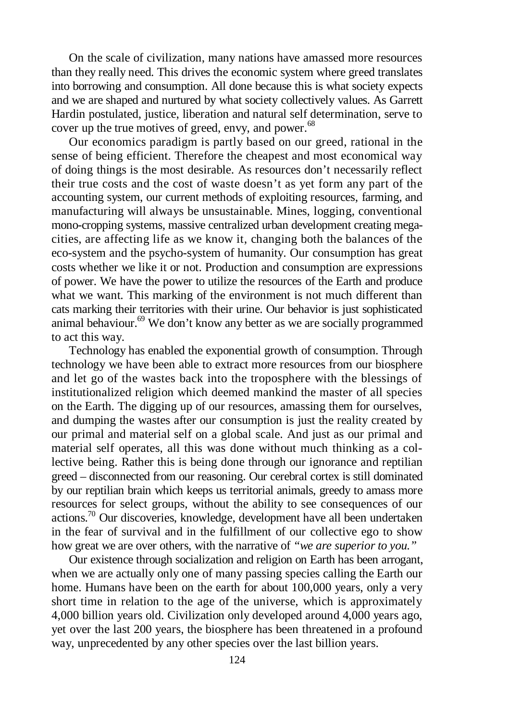On the scale of civilization, many nations have amassed more resources than they really need. This drives the economic system where greed translates into borrowing and consumption. All done because this is what society expects and we are shaped and nurtured by what society collectively values. As Garrett Hardin postulated, justice, liberation and natural self determination, serve to cover up the true motives of greed, envy, and power.<sup>68</sup>

Our economics paradigm is partly based on our greed, rational in the sense of being efficient. Therefore the cheapest and most economical way of doing things is the most desirable. As resources don't necessarily reflect their true costs and the cost of waste doesn't as yet form any part of the accounting system, our current methods of exploiting resources, farming, and manufacturing will always be unsustainable. Mines, logging, conventional mono-cropping systems, massive centralized urban development creating megacities, are affecting life as we know it, changing both the balances of the eco-system and the psycho-system of humanity. Our consumption has great costs whether we like it or not. Production and consumption are expressions of power. We have the power to utilize the resources of the Earth and produce what we want. This marking of the environment is not much different than cats marking their territories with their urine. Our behavior is just sophisticated animal behaviour. <sup>69</sup> We don't know any better as we are socially programmed to act this way.

Technology has enabled the exponential growth of consumption. Through technology we have been able to extract more resources from our biosphere and let go of the wastes back into the troposphere with the blessings of institutionalized religion which deemed mankind the master of all species on the Earth. The digging up of our resources, amassing them for ourselves, and dumping the wastes after our consumption is just the reality created by our primal and material self on a global scale. And just as our primal and material self operates, all this was done without much thinking as a collective being. Rather this is being done through our ignorance and reptilian greed – disconnected from our reasoning. Our cerebral cortex is still dominated by our reptilian brain which keeps us territorial animals, greedy to amass more resources for select groups, without the ability to see consequences of our actions.<sup>70</sup> Our discoveries, knowledge, development have all been undertaken in the fear of survival and in the fulfillment of our collective ego to show how great we are over others, with the narrative of *"we are superior to you*.*"*

Our existence through socialization and religion on Earth has been arrogant, when we are actually only one of many passing species calling the Earth our home. Humans have been on the earth for about 100,000 years, only a very short time in relation to the age of the universe, which is approximately 4,000 billion years old. Civilization only developed around 4,000 years ago, yet over the last 200 years, the biosphere has been threatened in a profound way, unprecedented by any other species over the last billion years.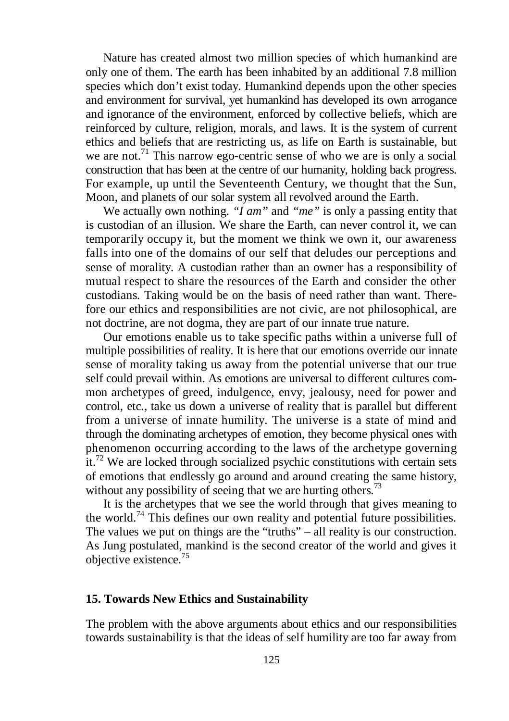Nature has created almost two million species of which humankind are only one of them. The earth has been inhabited by an additional 7.8 million species which don't exist today. Humankind depends upon the other species and environment for survival, yet humankind has developed its own arrogance and ignorance of the environment, enforced by collective beliefs, which are reinforced by culture, religion, morals, and laws. It is the system of current ethics and beliefs that are restricting us, as life on Earth is sustainable, but we are not.<sup>71</sup> This narrow ego-centric sense of who we are is only a social construction that has been at the centre of our humanity, holding back progress. For example, up until the Seventeenth Century, we thought that the Sun, Moon, and planets of our solar system all revolved around the Earth.

We actually own nothing. *"I am"* and *"me"* is only a passing entity that is custodian of an illusion. We share the Earth, can never control it, we can temporarily occupy it, but the moment we think we own it, our awareness falls into one of the domains of our self that deludes our perceptions and sense of morality. A custodian rather than an owner has a responsibility of mutual respect to share the resources of the Earth and consider the other custodians. Taking would be on the basis of need rather than want. Therefore our ethics and responsibilities are not civic, are not philosophical, are not doctrine, are not dogma, they are part of our innate true nature.

Our emotions enable us to take specific paths within a universe full of multiple possibilities of reality. It is here that our emotions override our innate sense of morality taking us away from the potential universe that our true self could prevail within. As emotions are universal to different cultures common archetypes of greed, indulgence, envy, jealousy, need for power and control, etc., take us down a universe of reality that is parallel but different from a universe of innate humility. The universe is a state of mind and through the dominating archetypes of emotion, they become physical ones with phenomenon occurring according to the laws of the archetype governing it.<sup>72</sup> We are locked through socialized psychic constitutions with certain sets of emotions that endlessly go around and around creating the same history, without any possibility of seeing that we are hurting others.<sup>73</sup>

It is the archetypes that we see the world through that gives meaning to the world.<sup>74</sup> This defines our own reality and potential future possibilities. The values we put on things are the "truths" – all reality is our construction. As Jung postulated, mankind is the second creator of the world and gives it objective existence. 75

#### **15. Towards New Ethics and Sustainability**

The problem with the above arguments about ethics and our responsibilities towards sustainability is that the ideas of self humility are too far away from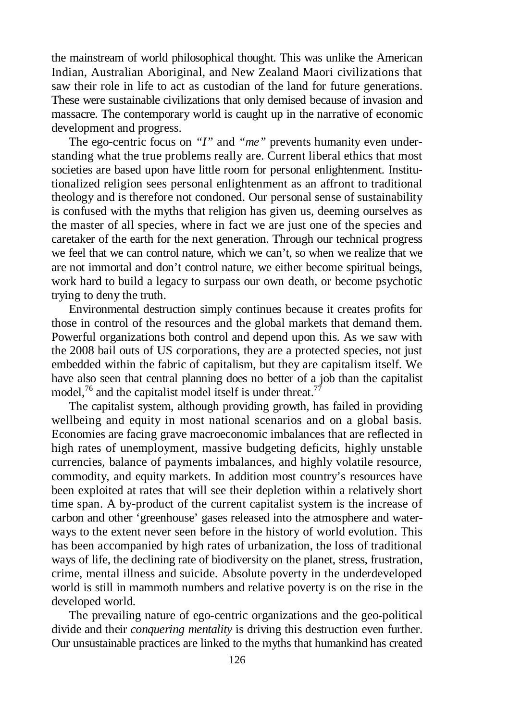the mainstream of world philosophical thought. This was unlike the American Indian, Australian Aboriginal, and New Zealand Maori civilizations that saw their role in life to act as custodian of the land for future generations. These were sustainable civilizations that only demised because of invasion and massacre. The contemporary world is caught up in the narrative of economic development and progress.

The ego-centric focus on *"I"* and *"me"* prevents humanity even understanding what the true problems really are. Current liberal ethics that most societies are based upon have little room for personal enlightenment. Institutionalized religion sees personal enlightenment as an affront to traditional theology and is therefore not condoned. Our personal sense of sustainability is confused with the myths that religion has given us, deeming ourselves as the master of all species, where in fact we are just one of the species and caretaker of the earth for the next generation. Through our technical progress we feel that we can control nature, which we can't, so when we realize that we are not immortal and don't control nature, we either become spiritual beings, work hard to build a legacy to surpass our own death, or become psychotic trying to deny the truth.

Environmental destruction simply continues because it creates profits for those in control of the resources and the global markets that demand them. Powerful organizations both control and depend upon this. As we saw with the 2008 bail outs of US corporations, they are a protected species, not just embedded within the fabric of capitalism, but they are capitalism itself. We have also seen that central planning does no better of a job than the capitalist model,<sup>76</sup> and the capitalist model itself is under threat.<sup>77</sup>

The capitalist system, although providing growth, has failed in providing wellbeing and equity in most national scenarios and on a global basis. Economies are facing grave macroeconomic imbalances that are reflected in high rates of unemployment, massive budgeting deficits, highly unstable currencies, balance of payments imbalances, and highly volatile resource, commodity, and equity markets. In addition most country's resources have been exploited at rates that will see their depletion within a relatively short time span. A by-product of the current capitalist system is the increase of carbon and other 'greenhouse' gases released into the atmosphere and waterways to the extent never seen before in the history of world evolution. This has been accompanied by high rates of urbanization, the loss of traditional ways of life, the declining rate of biodiversity on the planet, stress, frustration, crime, mental illness and suicide. Absolute poverty in the underdeveloped world is still in mammoth numbers and relative poverty is on the rise in the developed world.

The prevailing nature of ego-centric organizations and the geo-political divide and their *conquering mentality* is driving this destruction even further. Our unsustainable practices are linked to the myths that humankind has created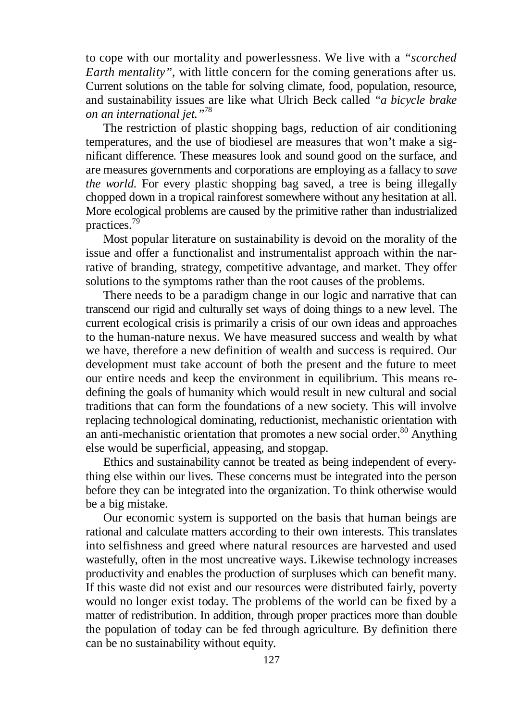to cope with our mortality and powerlessness. We live with a *"scorched Earth mentality"*, with little concern for the coming generations after us*.* Current solutions on the table for solving climate, food, population, resource, and sustainability issues are like what Ulrich Beck called *"a bicycle brake on an international jet."* 78

The restriction of plastic shopping bags, reduction of air conditioning temperatures, and the use of biodiesel are measures that won't make a significant difference. These measures look and sound good on the surface, and are measures governments and corporations are employing as a fallacy to *save the world.* For every plastic shopping bag saved, a tree is being illegally chopped down in a tropical rainforest somewhere without any hesitation at all. More ecological problems are caused by the primitive rather than industrialized practices. 79

Most popular literature on sustainability is devoid on the morality of the issue and offer a functionalist and instrumentalist approach within the narrative of branding, strategy, competitive advantage, and market. They offer solutions to the symptoms rather than the root causes of the problems.

There needs to be a paradigm change in our logic and narrative that can transcend our rigid and culturally set ways of doing things to a new level. The current ecological crisis is primarily a crisis of our own ideas and approaches to the human-nature nexus. We have measured success and wealth by what we have, therefore a new definition of wealth and success is required. Our development must take account of both the present and the future to meet our entire needs and keep the environment in equilibrium. This means redefining the goals of humanity which would result in new cultural and social traditions that can form the foundations of a new society. This will involve replacing technological dominating, reductionist, mechanistic orientation with an anti-mechanistic orientation that promotes a new social order.<sup>80</sup> Anything else would be superficial, appeasing, and stopgap.

Ethics and sustainability cannot be treated as being independent of everything else within our lives. These concerns must be integrated into the person before they can be integrated into the organization. To think otherwise would be a big mistake.

Our economic system is supported on the basis that human beings are rational and calculate matters according to their own interests. This translates into selfishness and greed where natural resources are harvested and used wastefully, often in the most uncreative ways. Likewise technology increases productivity and enables the production of surpluses which can benefit many. If this waste did not exist and our resources were distributed fairly, poverty would no longer exist today. The problems of the world can be fixed by a matter of redistribution. In addition, through proper practices more than double the population of today can be fed through agriculture. By definition there can be no sustainability without equity.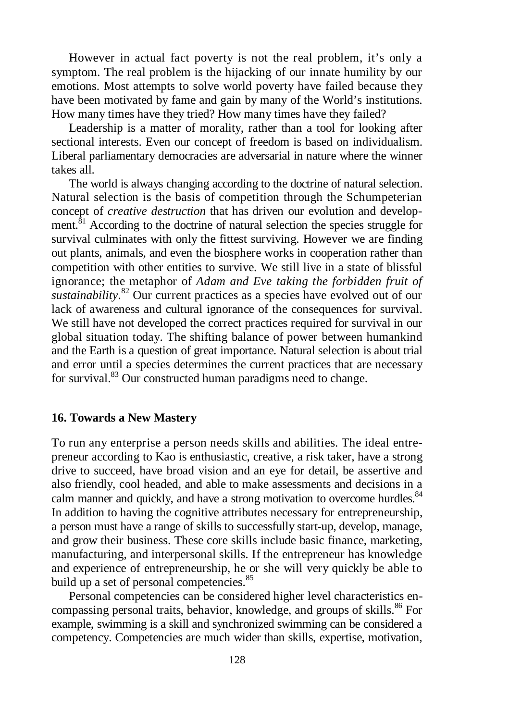However in actual fact poverty is not the real problem, it's only a symptom. The real problem is the hijacking of our innate humility by our emotions. Most attempts to solve world poverty have failed because they have been motivated by fame and gain by many of the World's institutions. How many times have they tried? How many times have they failed?

Leadership is a matter of morality, rather than a tool for looking after sectional interests. Even our concept of freedom is based on individualism. Liberal parliamentary democracies are adversarial in nature where the winner takes all.

The world is always changing according to the doctrine of natural selection. Natural selection is the basis of competition through the Schumpeterian concept of *creative destruction* that has driven our evolution and development.<sup>81</sup> According to the doctrine of natural selection the species struggle for survival culminates with only the fittest surviving. However we are finding out plants, animals, and even the biosphere works in cooperation rather than competition with other entities to survive. We still live in a state of blissful ignorance; the metaphor of *Adam and Eve taking the forbidden fruit of sustainability*. <sup>82</sup> Our current practices as a species have evolved out of our lack of awareness and cultural ignorance of the consequences for survival. We still have not developed the correct practices required for survival in our global situation today. The shifting balance of power between humankind and the Earth is a question of great importance. Natural selection is about trial and error until a species determines the current practices that are necessary for survival.<sup>83</sup> Our constructed human paradigms need to change.

### **16. Towards a New Mastery**

To run any enterprise a person needs skills and abilities. The ideal entrepreneur according to Kao is enthusiastic, creative, a risk taker, have a strong drive to succeed, have broad vision and an eye for detail, be assertive and also friendly, cool headed, and able to make assessments and decisions in a calm manner and quickly, and have a strong motivation to overcome hurdles. <sup>84</sup> In addition to having the cognitive attributes necessary for entrepreneurship, a person must have a range of skills to successfully start-up, develop, manage, and grow their business. These core skills include basic finance, marketing, manufacturing, and interpersonal skills. If the entrepreneur has knowledge and experience of entrepreneurship, he or she will very quickly be able to build up a set of personal competencies.<sup>85</sup>

Personal competencies can be considered higher level characteristics encompassing personal traits, behavior, knowledge, and groups of skills.<sup>86</sup> For example, swimming is a skill and synchronized swimming can be considered a competency. Competencies are much wider than skills, expertise, motivation,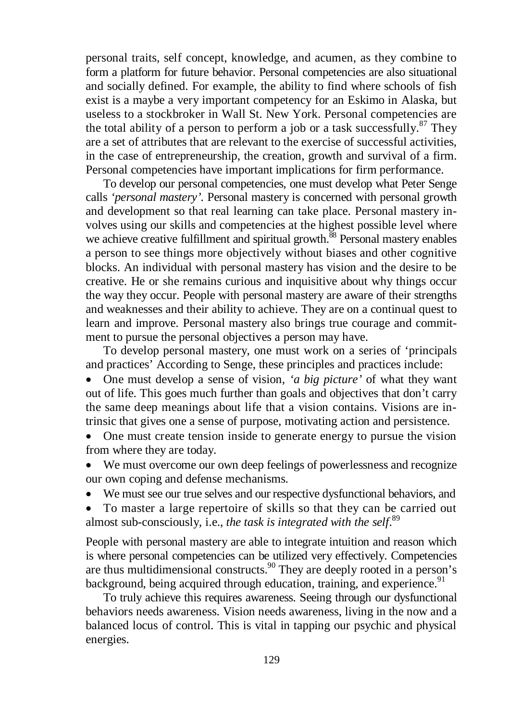personal traits, self concept, knowledge, and acumen, as they combine to form a platform for future behavior. Personal competencies are also situational and socially defined. For example, the ability to find where schools of fish exist is a maybe a very important competency for an Eskimo in Alaska, but useless to a stockbroker in Wall St. New York. Personal competencies are the total ability of a person to perform a job or a task successfully. $87$  They are a set of attributes that are relevant to the exercise of successful activities, in the case of entrepreneurship, the creation, growth and survival of a firm. Personal competencies have important implications for firm performance.

To develop our personal competencies, one must develop what Peter Senge calls *'personal mastery'.* Personal mastery is concerned with personal growth and development so that real learning can take place. Personal mastery involves using our skills and competencies at the highest possible level where we achieve creative fulfillment and spiritual growth.<sup>88</sup> Personal mastery enables a person to see things more objectively without biases and other cognitive blocks. An individual with personal mastery has vision and the desire to be creative. He or she remains curious and inquisitive about why things occur the way they occur. People with personal mastery are aware of their strengths and weaknesses and their ability to achieve. They are on a continual quest to learn and improve. Personal mastery also brings true courage and commitment to pursue the personal objectives a person may have.

To develop personal mastery, one must work on a series of 'principals and practices' According to Senge, these principles and practices include:

 One must develop a sense of vision, *'a big picture'* of what they want out of life. This goes much further than goals and objectives that don't carry the same deep meanings about life that a vision contains. Visions are intrinsic that gives one a sense of purpose, motivating action and persistence.

 One must create tension inside to generate energy to pursue the vision from where they are today.

 We must overcome our own deep feelings of powerlessness and recognize our own coping and defense mechanisms.

We must see our true selves and our respective dysfunctional behaviors, and

 To master a large repertoire of skills so that they can be carried out almost sub-consciously*,* i.e., *the task is integrated with the self*. 89

People with personal mastery are able to integrate intuition and reason which is where personal competencies can be utilized very effectively. Competencies are thus multidimensional constructs.<sup>90</sup> They are deeply rooted in a person's background, being acquired through education, training, and experience.<sup>91</sup>

To truly achieve this requires awareness. Seeing through our dysfunctional behaviors needs awareness. Vision needs awareness, living in the now and a balanced locus of control. This is vital in tapping our psychic and physical energies.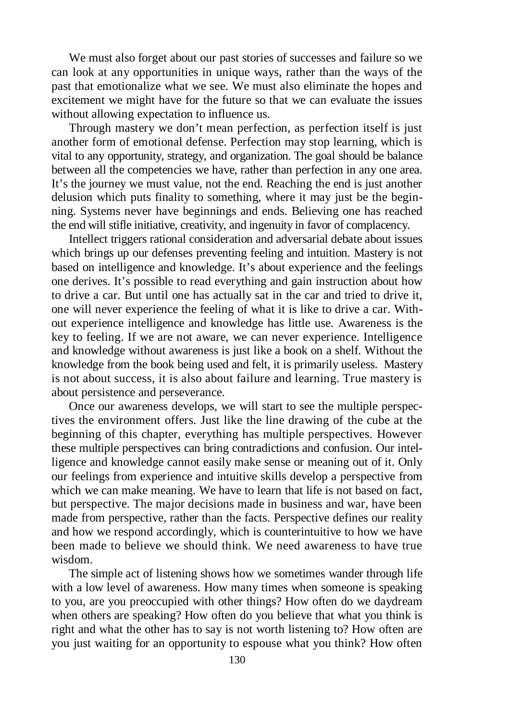We must also forget about our past stories of successes and failure so we can look at any opportunities in unique ways, rather than the ways of the past that emotionalize what we see. We must also eliminate the hopes and excitement we might have for the future so that we can evaluate the issues without allowing expectation to influence us.

Through mastery we don't mean perfection, as perfection itself is just another form of emotional defense. Perfection may stop learning, which is vital to any opportunity, strategy, and organization. The goal should be balance between all the competencies we have, rather than perfection in any one area. It's the journey we must value, not the end. Reaching the end is just another delusion which puts finality to something, where it may just be the beginning. Systems never have beginnings and ends. Believing one has reached the end will stifle initiative, creativity, and ingenuity in favor of complacency.

Intellect triggers rational consideration and adversarial debate about issues which brings up our defenses preventing feeling and intuition. Mastery is not based on intelligence and knowledge. It's about experience and the feelings one derives. It's possible to read everything and gain instruction about how to drive a car. But until one has actually sat in the car and tried to drive it, one will never experience the feeling of what it is like to drive a car. Without experience intelligence and knowledge has little use. Awareness is the key to feeling. If we are not aware, we can never experience. Intelligence and knowledge without awareness is just like a book on a shelf. Without the knowledge from the book being used and felt, it is primarily useless. Mastery is not about success, it is also about failure and learning. True mastery is about persistence and perseverance.

Once our awareness develops, we will start to see the multiple perspectives the environment offers. Just like the line drawing of the cube at the beginning of this chapter, everything has multiple perspectives. However these multiple perspectives can bring contradictions and confusion. Our intelligence and knowledge cannot easily make sense or meaning out of it. Only our feelings from experience and intuitive skills develop a perspective from which we can make meaning. We have to learn that life is not based on fact, but perspective. The major decisions made in business and war, have been made from perspective, rather than the facts. Perspective defines our reality and how we respond accordingly, which is counterintuitive to how we have been made to believe we should think. We need awareness to have true wisdom.

The simple act of listening shows how we sometimes wander through life with a low level of awareness. How many times when someone is speaking to you, are you preoccupied with other things? How often do we daydream when others are speaking? How often do you believe that what you think is right and what the other has to say is not worth listening to? How often are you just waiting for an opportunity to espouse what you think? How often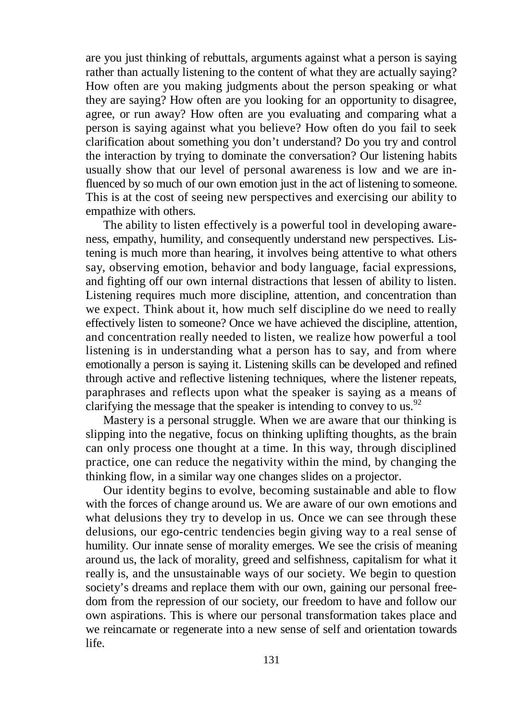are you just thinking of rebuttals, arguments against what a person is saying rather than actually listening to the content of what they are actually saying? How often are you making judgments about the person speaking or what they are saying? How often are you looking for an opportunity to disagree, agree, or run away? How often are you evaluating and comparing what a person is saying against what you believe? How often do you fail to seek clarification about something you don't understand? Do you try and control the interaction by trying to dominate the conversation? Our listening habits usually show that our level of personal awareness is low and we are influenced by so much of our own emotion just in the act of listening to someone. This is at the cost of seeing new perspectives and exercising our ability to empathize with others.

The ability to listen effectively is a powerful tool in developing awareness, empathy, humility, and consequently understand new perspectives. Listening is much more than hearing, it involves being attentive to what others say, observing emotion, behavior and body language, facial expressions, and fighting off our own internal distractions that lessen of ability to listen. Listening requires much more discipline, attention, and concentration than we expect. Think about it, how much self discipline do we need to really effectively listen to someone? Once we have achieved the discipline, attention, and concentration really needed to listen, we realize how powerful a tool listening is in understanding what a person has to say, and from where emotionally a person is saying it. Listening skills can be developed and refined through active and reflective listening techniques, where the listener repeats, paraphrases and reflects upon what the speaker is saying as a means of clarifying the message that the speaker is intending to convey to us.<sup>92</sup>

Mastery is a personal struggle. When we are aware that our thinking is slipping into the negative, focus on thinking uplifting thoughts, as the brain can only process one thought at a time. In this way, through disciplined practice, one can reduce the negativity within the mind, by changing the thinking flow, in a similar way one changes slides on a projector.

Our identity begins to evolve, becoming sustainable and able to flow with the forces of change around us. We are aware of our own emotions and what delusions they try to develop in us. Once we can see through these delusions, our ego-centric tendencies begin giving way to a real sense of humility. Our innate sense of morality emerges. We see the crisis of meaning around us, the lack of morality, greed and selfishness, capitalism for what it really is, and the unsustainable ways of our society. We begin to question society's dreams and replace them with our own, gaining our personal freedom from the repression of our society, our freedom to have and follow our own aspirations. This is where our personal transformation takes place and we reincarnate or regenerate into a new sense of self and orientation towards life.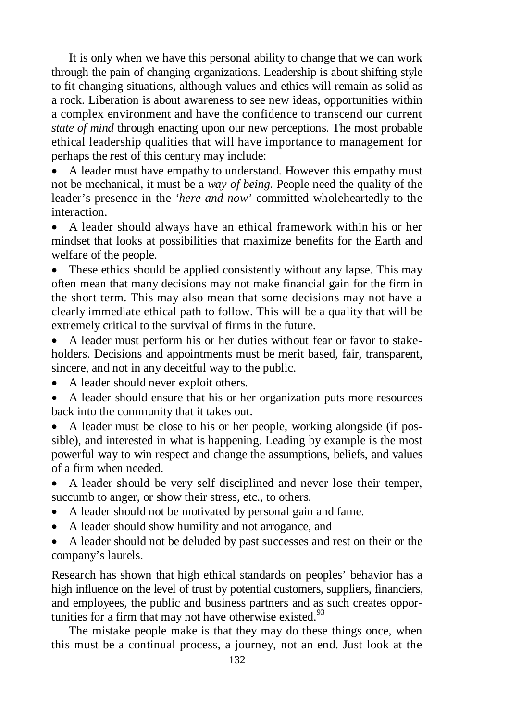It is only when we have this personal ability to change that we can work through the pain of changing organizations. Leadership is about shifting style to fit changing situations, although values and ethics will remain as solid as a rock. Liberation is about awareness to see new ideas, opportunities within a complex environment and have the confidence to transcend our current *state of mind* through enacting upon our new perceptions. The most probable ethical leadership qualities that will have importance to management for perhaps the rest of this century may include:

 A leader must have empathy to understand. However this empathy must not be mechanical, it must be a *way of being.* People need the quality of the leader's presence in the *'here and now'* committed wholeheartedly to the interaction.

 A leader should always have an ethical framework within his or her mindset that looks at possibilities that maximize benefits for the Earth and welfare of the people.

• These ethics should be applied consistently without any lapse. This may often mean that many decisions may not make financial gain for the firm in the short term. This may also mean that some decisions may not have a clearly immediate ethical path to follow. This will be a quality that will be extremely critical to the survival of firms in the future.

 A leader must perform his or her duties without fear or favor to stakeholders. Decisions and appointments must be merit based, fair, transparent, sincere, and not in any deceitful way to the public.

- A leader should never exploit others.
- A leader should ensure that his or her organization puts more resources back into the community that it takes out.

 A leader must be close to his or her people, working alongside (if possible), and interested in what is happening. Leading by example is the most powerful way to win respect and change the assumptions, beliefs, and values of a firm when needed.

- A leader should be very self disciplined and never lose their temper, succumb to anger, or show their stress, etc., to others.
- A leader should not be motivated by personal gain and fame.
- A leader should show humility and not arrogance, and
- A leader should not be deluded by past successes and rest on their or the company's laurels.

Research has shown that high ethical standards on peoples' behavior has a high influence on the level of trust by potential customers, suppliers, financiers, and employees, the public and business partners and as such creates opportunities for a firm that may not have otherwise existed.<sup>93</sup>

The mistake people make is that they may do these things once, when this must be a continual process, a journey, not an end. Just look at the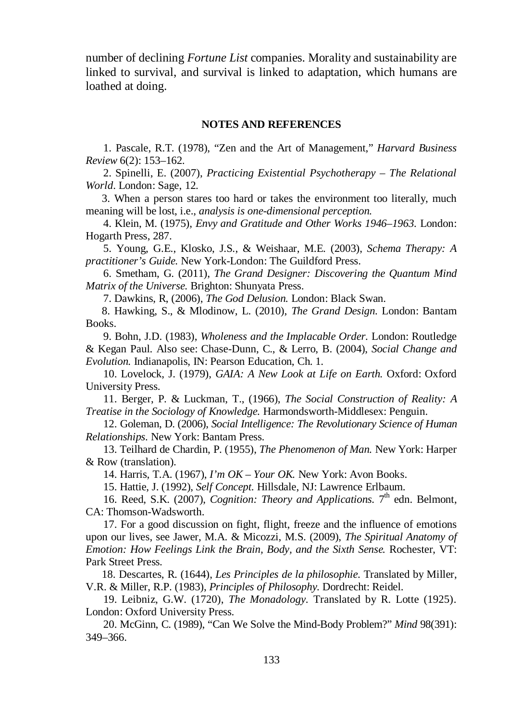number of declining *Fortune List* companies. Morality and sustainability are linked to survival, and survival is linked to adaptation, which humans are loathed at doing.

#### **NOTES AND REFERENCES**

1. Pascale, R.T. (1978), "Zen and the Art of Management," *Harvard Business Review* 6(2): 153–162.

2. Spinelli, E. (2007), *Practicing Existential Psychotherapy – The Relational World*. London: Sage, 12.

 3. When a person stares too hard or takes the environment too literally, much meaning will be lost, i.e., *analysis is one-dimensional perception.*

4. Klein, M. (1975), *Envy and Gratitude and Other Works 1946*–*1963.* London: Hogarth Press, 287.

5. Young, G.E., Klosko, J.S., & Weishaar, M.E. (2003), *Schema Therapy: A practitioner's Guide.* New York-London: The Guildford Press.

6. Smetham, G. (2011), *The Grand Designer: Discovering the Quantum Mind Matrix of the Universe.* Brighton: Shunyata Press.

7. Dawkins, R, (2006), *The God Delusion.* London: Black Swan.

 8. Hawking, S., & Mlodinow, L. (2010), *The Grand Design.* London: Bantam Books.

9. Bohn, J.D. (1983), *Wholeness and the Implacable Order.* London: Routledge & Kegan Paul. Also see: Chase-Dunn, C., & Lerro, B. (2004), *Social Change and Evolution.* Indianapolis, IN: Pearson Education, Ch. 1.

10. Lovelock, J. (1979), *GAIA: A New Look at Life on Earth.* Oxford: Oxford University Press.

11. Berger, P. & Luckman, T., (1966), *The Social Construction of Reality: A Treatise in the Sociology of Knowledge.* Harmondsworth-Middlesex: Penguin.

12. Goleman, D. (2006), *Social Intelligence: The Revolutionary Science of Human Relationships.* New York: Bantam Press.

13. Teilhard de Chardin, P. (1955), *The Phenomenon of Man.* New York: Harper & Row (translation).

14. Harris, T.A. (1967), *I'm OK* – *Your OK.* New York: Avon Books.

15. Hattie, J. (1992), *Self Concept.* Hillsdale, NJ: Lawrence Erlbaum.

16. Reed, S.K. (2007), *Cognition: Theory and Applications*. 7<sup>th</sup> edn. Belmont, CA: Thomson-Wadsworth.

17. For a good discussion on fight, flight, freeze and the influence of emotions upon our lives, see Jawer, M.A. & Micozzi, M.S. (2009), *The Spiritual Anatomy of Emotion: How Feelings Link the Brain, Body, and the Sixth Sense.* Rochester, VT: Park Street Press.

 18. Descartes, R. (1644), *Les Principles de la philosophie*. Translated by Miller, V.R. & Miller, R.P. (1983), *Principles of Philosophy.* Dordrecht: Reidel.

19. Leibniz, G.W. (1720), *The Monadology.* Translated by R. Lotte (1925). London: Oxford University Press.

20. McGinn, C. (1989), "Can We Solve the Mind-Body Problem?" *Mind* 98(391): 349–366.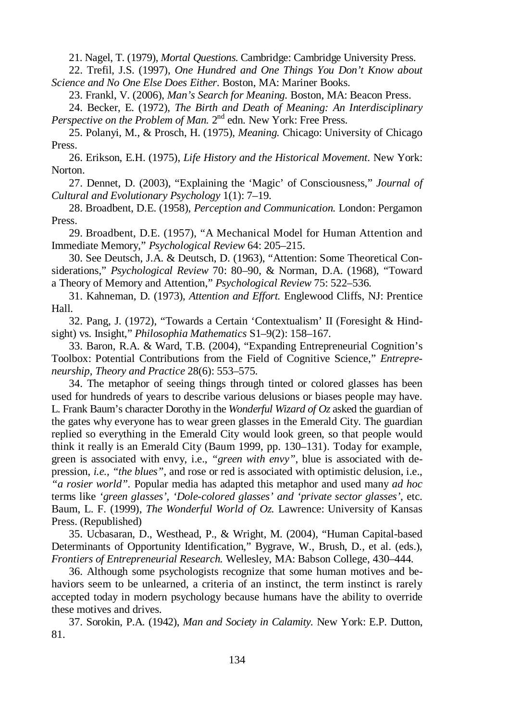21. Nagel, T. (1979), *Mortal Questions.* Cambridge: Cambridge University Press.

22. Trefil, J.S. (1997), *One Hundred and One Things You Don't Know about Science and No One Else Does Either.* Boston, MA: Mariner Books.

23. Frankl, V. (2006), *Man's Search for Meaning.* Boston, MA: Beacon Press.

24. Becker, E. (1972), *The Birth and Death of Meaning: An Interdisciplinary*  Perspective on the Problem of Man. 2<sup>nd</sup> edn. New York: Free Press.

25. Polanyi, M., & Prosch, H. (1975), *Meaning.* Chicago: University of Chicago Press.

26. Erikson, E.H. (1975), *Life History and the Historical Movement.* New York: Norton.

27. Dennet, D. (2003), "Explaining the 'Magic' of Consciousness," *Journal of Cultural and Evolutionary Psychology* 1(1): 7–19.

28. Broadbent, D.E. (1958), *Perception and Communication.* London: Pergamon Press.

29. Broadbent, D.E. (1957), "A Mechanical Model for Human Attention and Immediate Memory," *Psychological Review* 64: 205–215.

30. See Deutsch, J.A. & Deutsch, D. (1963), "Attention: Some Theoretical Considerations," *Psychological Review* 70: 80–90, & Norman, D.A. (1968), "Toward a Theory of Memory and Attention," *Psychological Review* 75: 522–536.

31. Kahneman, D. (1973), *Attention and Effort.* Englewood Cliffs, NJ: Prentice Hall.

32. Pang, J. (1972), "Towards a Certain 'Contextualism' II (Foresight & Hindsight) vs. Insight," *Philosophia Mathematics* S1–9(2): 158–167.

33. Baron, R.A. & Ward, T.B. (2004), "Expanding Entrepreneurial Cognition's Toolbox: Potential Contributions from the Field of Cognitive Science," *Entrepreneurship, Theory and Practice* 28(6): 553–575.

34. The metaphor of seeing things through tinted or colored glasses has been used for hundreds of years to describe various delusions or biases people may have. L. Frank Baum's character Dorothy in the *Wonderful Wizard of Oz* asked the guardian of the gates why everyone has to wear green glasses in the Emerald City. The guardian replied so everything in the Emerald City would look green, so that people would think it really is an Emerald City (Baum 1999, pp. 130–131). Today for example, green is associated with envy, i.e., *"green with envy"*, blue is associated with depression, *i.e., "the blues"*, and rose or red is associated with optimistic delusion, i.e., *"a rosier world".* Popular media has adapted this metaphor and used many *ad hoc* terms like *'green glasses', 'Dole-colored glasses' and 'private sector glasses'*, etc. Baum, L. F. (1999), *The Wonderful World of Oz.* Lawrence: University of Kansas Press. (Republished)

35. Ucbasaran, D., Westhead, P., & Wright, M. (2004), "Human Capital-based Determinants of Opportunity Identification," Bygrave, W., Brush, D., et al. (eds.), *Frontiers of Entrepreneurial Research.* Wellesley, MA: Babson College, 430–444.

36. Although some psychologists recognize that some human motives and behaviors seem to be unlearned, a criteria of an instinct, the term instinct is rarely accepted today in modern psychology because humans have the ability to override these motives and drives.

37. Sorokin, P.A. (1942), *Man and Society in Calamity.* New York: E.P. Dutton, 81.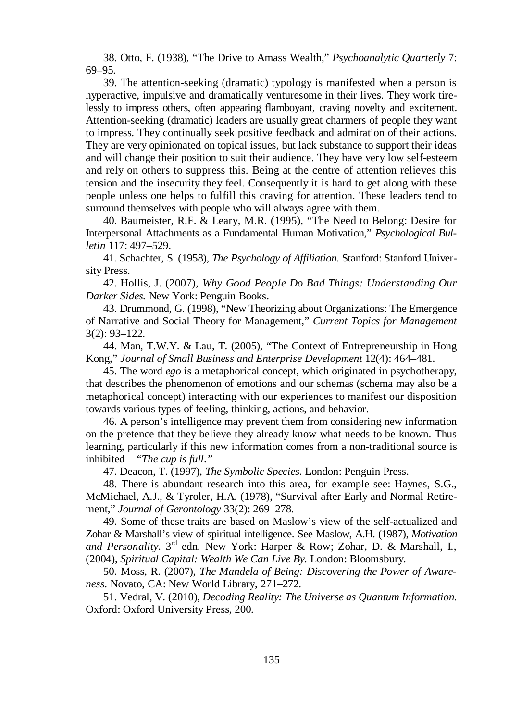38. Otto, F. (1938), "The Drive to Amass Wealth," *Psychoanalytic Quarterly* 7: 69–95.

39. The attention-seeking (dramatic) typology is manifested when a person is hyperactive, impulsive and dramatically venturesome in their lives. They work tirelessly to impress others, often appearing flamboyant, craving novelty and excitement. Attention-seeking (dramatic) leaders are usually great charmers of people they want to impress. They continually seek positive feedback and admiration of their actions. They are very opinionated on topical issues, but lack substance to support their ideas and will change their position to suit their audience. They have very low self-esteem and rely on others to suppress this. Being at the centre of attention relieves this tension and the insecurity they feel. Consequently it is hard to get along with these people unless one helps to fulfill this craving for attention. These leaders tend to surround themselves with people who will always agree with them.

40. Baumeister, R.F. & Leary, M.R. (1995), "The Need to Belong: Desire for Interpersonal Attachments as a Fundamental Human Motivation," *Psychological Bulletin* 117: 497–529.

41. Schachter, S. (1958), *The Psychology of Affiliation.* Stanford: Stanford University Press.

42. Hollis, J. (2007), *Why Good People Do Bad Things: Understanding Our Darker Sides.* New York: Penguin Books.

43. Drummond, G. (1998), "New Theorizing about Organizations: The Emergence of Narrative and Social Theory for Management," *Current Topics for Management* 3(2): 93–122.

44. Man, T.W.Y. & Lau, T. (2005), "The Context of Entrepreneurship in Hong Kong," *Journal of Small Business and Enterprise Development* 12(4): 464–481.

45. The word *ego* is a metaphorical concept, which originated in psychotherapy, that describes the phenomenon of emotions and our schemas (schema may also be a metaphorical concept) interacting with our experiences to manifest our disposition towards various types of feeling, thinking, actions, and behavior.

46. A person's intelligence may prevent them from considering new information on the pretence that they believe they already know what needs to be known. Thus learning, particularly if this new information comes from a non-traditional source is inhibited – *"The cup is full*.*"*

47. Deacon, T. (1997), *The Symbolic Species.* London: Penguin Press.

48. There is abundant research into this area, for example see: Haynes, S.G., McMichael, A.J., & Tyroler, H.A. (1978), "Survival after Early and Normal Retirement," *Journal of Gerontology* 33(2): 269–278.

49. Some of these traits are based on Maslow's view of the self-actualized and Zohar & Marshall's view of spiritual intelligence. See Maslow, A.H. (1987), *Motivation* and Personality. 3<sup>rd</sup> edn. New York: Harper & Row; Zohar, D. & Marshall, I., (2004), *Spiritual Capital: Wealth We Can Live By.* London: Bloomsbury.

50. Moss, R. (2007), *The Mandela of Being: Discovering the Power of Awareness.* Novato, CA: New World Library, 271–272.

51. Vedral, V. (2010), *Decoding Reality: The Universe as Quantum Information.* Oxford: Oxford University Press, 200.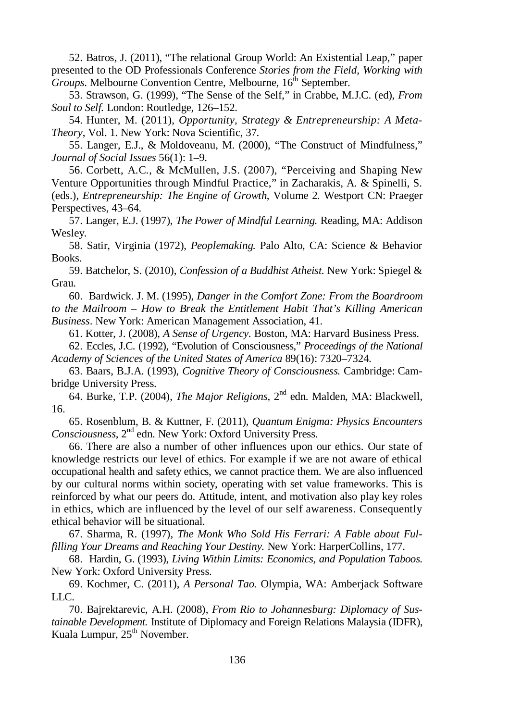52. Batros, J. (2011), "The relational Group World: An Existential Leap," paper presented to the OD Professionals Conference *Stories from the Field, Working with Groups*. Melbourne Convention Centre, Melbourne, 16<sup>th</sup> September.

53. Strawson, G. (1999), "The Sense of the Self," in Crabbe, M.J.C. (ed), *From Soul to Self.* London: Routledge, 126–152.

54. Hunter, M. (2011), *Opportunity, Strategy & Entrepreneurship: A Meta-Theory*, Vol. 1. New York: Nova Scientific, 37.

55. Langer, E.J., & Moldoveanu, M. (2000), "The Construct of Mindfulness," *Journal of Social Issues* 56(1): 1–9.

56. Corbett, A.C., & McMullen, J.S. (2007), "Perceiving and Shaping New Venture Opportunities through Mindful Practice," in Zacharakis, A. & Spinelli, S. (eds.), *Entrepreneurship: The Engine of Growth*, Volume 2*.* Westport CN: Praeger Perspectives, 43–64.

57. Langer, E.J. (1997), *The Power of Mindful Learning.* Reading, MA: Addison Wesley.

58. Satir, Virginia (1972), *Peoplemaking.* Palo Alto, CA: Science & Behavior Books.

59. Batchelor, S. (2010), *Confession of a Buddhist Atheist.* New York: Spiegel & Grau.

60. Bardwick. J. M. (1995), *Danger in the Comfort Zone: From the Boardroom to the Mailroom – How to Break the Entitlement Habit That's Killing American Business*. New York: American Management Association, 41.

61. Kotter, J. (2008), *A Sense of Urgency.* Boston, MA: Harvard Business Press.

62. Eccles, J.C. (1992), "Evolution of Consciousness," *Proceedings of the National Academy of Sciences of the United States of America* 89(16): 7320–7324.

63. Baars, B.J.A. (1993), *Cognitive Theory of Consciousness.* Cambridge: Cambridge University Press.

64. Burke, T.P. (2004), *The Major Religions*, 2<sup>nd</sup> edn. Malden, MA: Blackwell, 16.

65. Rosenblum, B. & Kuttner, F. (2011), *Quantum Enigma: Physics Encounters*  Consciousness, 2<sup>nd</sup> edn. New York: Oxford University Press.

66. There are also a number of other influences upon our ethics. Our state of knowledge restricts our level of ethics. For example if we are not aware of ethical occupational health and safety ethics, we cannot practice them. We are also influenced by our cultural norms within society, operating with set value frameworks. This is reinforced by what our peers do. Attitude, intent, and motivation also play key roles in ethics, which are influenced by the level of our self awareness. Consequently ethical behavior will be situational.

67. Sharma, R. (1997), *The Monk Who Sold His Ferrari: A Fable about Fulfilling Your Dreams and Reaching Your Destiny.* New York: HarperCollins, 177.

68. Hardin, G. (1993), *Living Within Limits: Economics, and Population Taboos.* New York: Oxford University Press.

69. Kochmer, C. (2011), *A Personal Tao.* Olympia, WA: Amberjack Software LLC.

70. Bajrektarevic, A.H. (2008), *From Rio to Johannesburg: Diplomacy of Sustainable Development.* Institute of Diplomacy and Foreign Relations Malaysia (IDFR), Kuala Lumpur, 25<sup>th</sup> November.